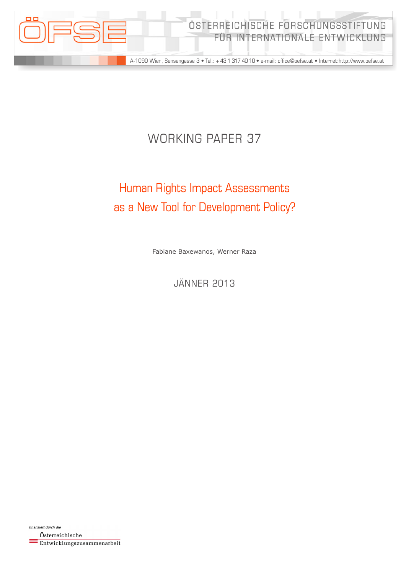

# WORKING PAPER 37

# Human Rights Impact Assessments as a New Tool for Development Policy?

Fabiane Baxewanos, Werner Raza

Jänner 2013

finanziert durch die Österreichische Entwicklungszusammenarbeit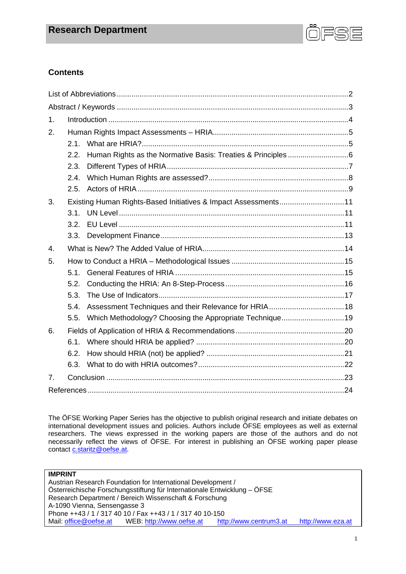

# **Contents**

| 1.               |      |                                                                |  |  |  |
|------------------|------|----------------------------------------------------------------|--|--|--|
| 2.               |      |                                                                |  |  |  |
|                  | 2.1. |                                                                |  |  |  |
|                  | 2.2. |                                                                |  |  |  |
|                  | 2.3. |                                                                |  |  |  |
|                  | 2.4. |                                                                |  |  |  |
|                  | 2.5. |                                                                |  |  |  |
| 3.               |      | Existing Human Rights-Based Initiatives & Impact Assessments11 |  |  |  |
|                  | 3.1. |                                                                |  |  |  |
|                  | 3.2. |                                                                |  |  |  |
|                  | 3.3. |                                                                |  |  |  |
| $\overline{4}$ . |      |                                                                |  |  |  |
| 5.               |      |                                                                |  |  |  |
|                  | 5.1. |                                                                |  |  |  |
|                  | 5.2. |                                                                |  |  |  |
|                  | 5.3. |                                                                |  |  |  |
|                  | 5.4. |                                                                |  |  |  |
|                  | 5.5. |                                                                |  |  |  |
| 6.               |      |                                                                |  |  |  |
|                  | 6.1. |                                                                |  |  |  |
|                  | 6.2. |                                                                |  |  |  |
|                  | 6.3. |                                                                |  |  |  |
| 7.               |      |                                                                |  |  |  |
|                  |      |                                                                |  |  |  |

The ÖFSE Working Paper Series has the objective to publish original research and initiate debates on international development issues and policies. Authors include ÖFSE employees as well as external researchers. The views expressed in the working papers are those of the authors and do not necessarily reflect the views of ÖFSE. For interest in publishing an ÖFSE working paper please contact c.staritz@oefse.at.

#### **IMPRINT**

Austrian Research Foundation for International Development / Österreichische Forschungsstiftung für Internationale Entwicklung – ÖFSE Research Department / Bereich Wissenschaft & Forschung A-1090 Vienna, Sensengasse 3 Phone ++43 / 1 / 317 40 10 / Fax ++43 / 1 / 317 40 10-150 Mail: office@oefse.at WEB: http://www.oefse.at http://www.centrum3.at http://www.eza.at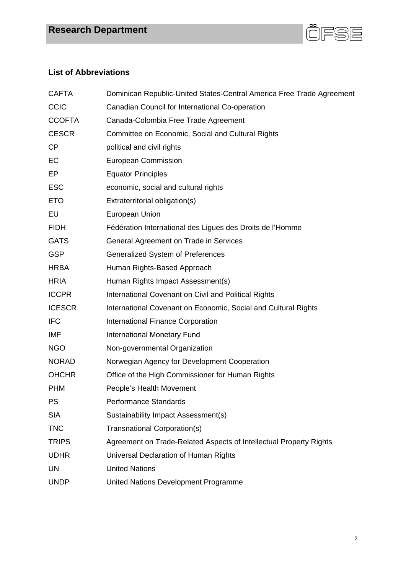

# **List of Abbreviations**

| <b>CAFTA</b>  | Dominican Republic-United States-Central America Free Trade Agreement |
|---------------|-----------------------------------------------------------------------|
| <b>CCIC</b>   | Canadian Council for International Co-operation                       |
| <b>CCOFTA</b> | Canada-Colombia Free Trade Agreement                                  |
| <b>CESCR</b>  | Committee on Economic, Social and Cultural Rights                     |
| <b>CP</b>     | political and civil rights                                            |
| EC            | <b>European Commission</b>                                            |
| EP            | <b>Equator Principles</b>                                             |
| <b>ESC</b>    | economic, social and cultural rights                                  |
| <b>ETO</b>    | Extraterritorial obligation(s)                                        |
| EU            | <b>European Union</b>                                                 |
| <b>FIDH</b>   | Fédération International des Ligues des Droits de l'Homme             |
| <b>GATS</b>   | General Agreement on Trade in Services                                |
| <b>GSP</b>    | Generalized System of Preferences                                     |
| <b>HRBA</b>   | Human Rights-Based Approach                                           |
| <b>HRIA</b>   | Human Rights Impact Assessment(s)                                     |
| <b>ICCPR</b>  | International Covenant on Civil and Political Rights                  |
| <b>ICESCR</b> | International Covenant on Economic, Social and Cultural Rights        |
| <b>IFC</b>    | <b>International Finance Corporation</b>                              |
| IMF           | <b>International Monetary Fund</b>                                    |
| <b>NGO</b>    | Non-governmental Organization                                         |
| <b>NORAD</b>  | Norwegian Agency for Development Cooperation                          |
| <b>OHCHR</b>  | Office of the High Commissioner for Human Rights                      |
| <b>PHM</b>    | People's Health Movement                                              |
| <b>PS</b>     | <b>Performance Standards</b>                                          |
| <b>SIA</b>    | Sustainability Impact Assessment(s)                                   |
| <b>TNC</b>    | Transnational Corporation(s)                                          |
| <b>TRIPS</b>  | Agreement on Trade-Related Aspects of Intellectual Property Rights    |
| <b>UDHR</b>   | Universal Declaration of Human Rights                                 |
| <b>UN</b>     | <b>United Nations</b>                                                 |
| <b>UNDP</b>   | United Nations Development Programme                                  |
|               |                                                                       |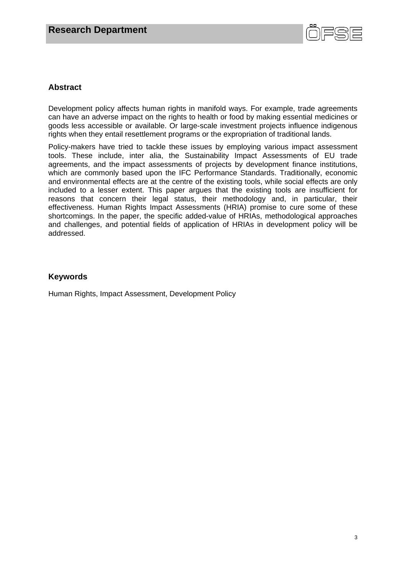

# **Abstract**

Development policy affects human rights in manifold ways. For example, trade agreements can have an adverse impact on the rights to health or food by making essential medicines or goods less accessible or available. Or large-scale investment projects influence indigenous rights when they entail resettlement programs or the expropriation of traditional lands.

Policy-makers have tried to tackle these issues by employing various impact assessment tools. These include, inter alia, the Sustainability Impact Assessments of EU trade agreements, and the impact assessments of projects by development finance institutions, which are commonly based upon the IFC Performance Standards. Traditionally, economic and environmental effects are at the centre of the existing tools, while social effects are only included to a lesser extent. This paper argues that the existing tools are insufficient for reasons that concern their legal status, their methodology and, in particular, their effectiveness. Human Rights Impact Assessments (HRIA) promise to cure some of these shortcomings. In the paper, the specific added-value of HRIAs, methodological approaches and challenges, and potential fields of application of HRIAs in development policy will be addressed.

# **Keywords**

Human Rights, Impact Assessment, Development Policy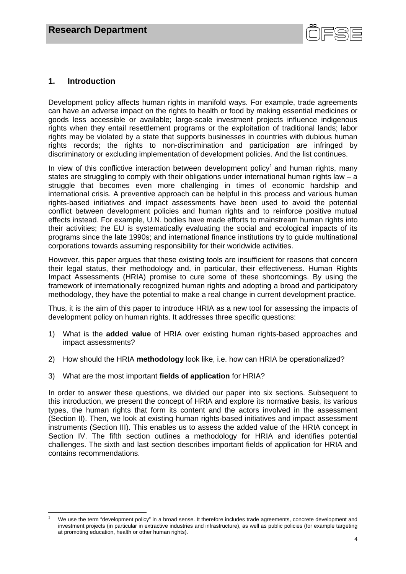

# **1. Introduction**

Development policy affects human rights in manifold ways. For example, trade agreements can have an adverse impact on the rights to health or food by making essential medicines or goods less accessible or available; large-scale investment projects influence indigenous rights when they entail resettlement programs or the exploitation of traditional lands; labor rights may be violated by a state that supports businesses in countries with dubious human rights records; the rights to non-discrimination and participation are infringed by discriminatory or excluding implementation of development policies. And the list continues.

In view of this conflictive interaction between development policy<sup>1</sup> and human rights, many states are struggling to comply with their obligations under international human rights law – a struggle that becomes even more challenging in times of economic hardship and international crisis. A preventive approach can be helpful in this process and various human rights-based initiatives and impact assessments have been used to avoid the potential conflict between development policies and human rights and to reinforce positive mutual effects instead. For example, U.N. bodies have made efforts to mainstream human rights into their activities; the EU is systematically evaluating the social and ecological impacts of its programs since the late 1990s; and international finance institutions try to guide multinational corporations towards assuming responsibility for their worldwide activities.

However, this paper argues that these existing tools are insufficient for reasons that concern their legal status, their methodology and, in particular, their effectiveness. Human Rights Impact Assessments (HRIA) promise to cure some of these shortcomings. By using the framework of internationally recognized human rights and adopting a broad and participatory methodology, they have the potential to make a real change in current development practice.

Thus, it is the aim of this paper to introduce HRIA as a new tool for assessing the impacts of development policy on human rights. It addresses three specific questions:

- 1) What is the **added value** of HRIA over existing human rights-based approaches and impact assessments?
- 2) How should the HRIA **methodology** look like, i.e. how can HRIA be operationalized?
- 3) What are the most important **fields of application** for HRIA?

In order to answer these questions, we divided our paper into six sections. Subsequent to this introduction, we present the concept of HRIA and explore its normative basis, its various types, the human rights that form its content and the actors involved in the assessment (Section II). Then, we look at existing human rights-based initiatives and impact assessment instruments (Section III). This enables us to assess the added value of the HRIA concept in Section IV. The fifth section outlines a methodology for HRIA and identifies potential challenges. The sixth and last section describes important fields of application for HRIA and contains recommendations.

 1 We use the term "development policy" in a broad sense. It therefore includes trade agreements, concrete development and investment projects (in particular in extractive industries and infrastructure), as well as public policies (for example targeting at promoting education, health or other human rights).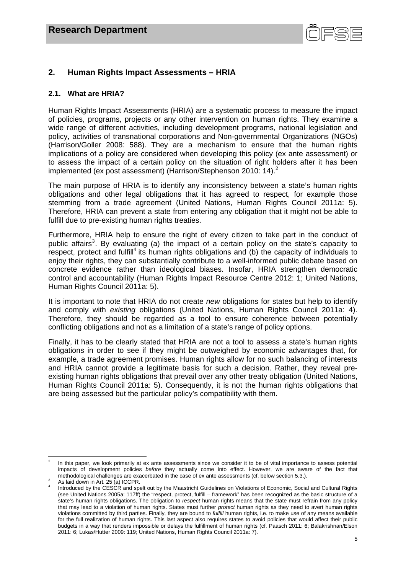

# **2. Human Rights Impact Assessments – HRIA**

# **2.1. What are HRIA?**

Human Rights Impact Assessments (HRIA) are a systematic process to measure the impact of policies, programs, projects or any other intervention on human rights. They examine a wide range of different activities, including development programs, national legislation and policy, activities of transnational corporations and Non-governmental Organizations (NGOs) (Harrison/Goller 2008: 588). They are a mechanism to ensure that the human rights implications of a policy are considered when developing this policy (ex ante assessment) or to assess the impact of a certain policy on the situation of right holders after it has been implemented (ex post assessment) (Harrison/Stephenson 2010: 14).<sup>2</sup>

The main purpose of HRIA is to identify any inconsistency between a state's human rights obligations and other legal obligations that it has agreed to respect, for example those stemming from a trade agreement (United Nations, Human Rights Council 2011a: 5). Therefore, HRIA can prevent a state from entering any obligation that it might not be able to fulfill due to pre-existing human rights treaties.

Furthermore, HRIA help to ensure the right of every citizen to take part in the conduct of public affairs<sup>3</sup>. By evaluating (a) the impact of a certain policy on the state's capacity to respect, protect and fulfill<sup>4</sup> its human rights obligations and (b) the capacity of individuals to enjoy their rights, they can substantially contribute to a well-informed public debate based on concrete evidence rather than ideological biases. Insofar, HRIA strengthen democratic control and accountability (Human Rights Impact Resource Centre 2012: 1; United Nations, Human Rights Council 2011a: 5).

It is important to note that HRIA do not create *new* obligations for states but help to identify and comply with *existing* obligations (United Nations, Human Rights Council 2011a: 4). Therefore, they should be regarded as a tool to ensure coherence between potentially conflicting obligations and not as a limitation of a state's range of policy options.

Finally, it has to be clearly stated that HRIA are not a tool to assess a state's human rights obligations in order to see if they might be outweighed by economic advantages that, for example, a trade agreement promises. Human rights allow for no such balancing of interests and HRIA cannot provide a legitimate basis for such a decision. Rather, they reveal preexisting human rights obligations that prevail over any other treaty obligation (United Nations, Human Rights Council 2011a: 5). Consequently, it is not the human rights obligations that are being assessed but the particular policy's compatibility with them.

 2 In this paper, we look primarily at ex ante assessments since we consider it to be of vital importance to assess potential impacts of development policies *before* they actually come into effect. However, we are aware of the fact that methodological challenges are exacerbated in the case of ex ante assessments (cf. below section 5.3.).

As laid down in Art. 25 (a) ICCPR.

<sup>4</sup> Introduced by the CESCR and spelt out by the Maastricht Guidelines on Violations of Economic, Social and Cultural Rights (see United Nations 2005a: 117ff) the "respect, protect, fulfill – framework" has been recognized as the basic structure of a state's human rights obligations. The obligation to *respect* human rights means that the state must refrain from any policy that may lead to a violation of human rights. States must further *protect* human rights as they need to avert human rights violations committed by third parties. Finally, they are bound to *fulfill* human rights, i.e. to make use of any means available for the full realization of human rights. This last aspect also requires states to avoid policies that would affect their public budgets in a way that renders impossible or delays the fulfillment of human rights (cf. Paasch 2011: 6; Balakrishnan/Elson 2011: 6; Lukas/Hutter 2009: 119; United Nations, Human Rights Council 2011a: 7).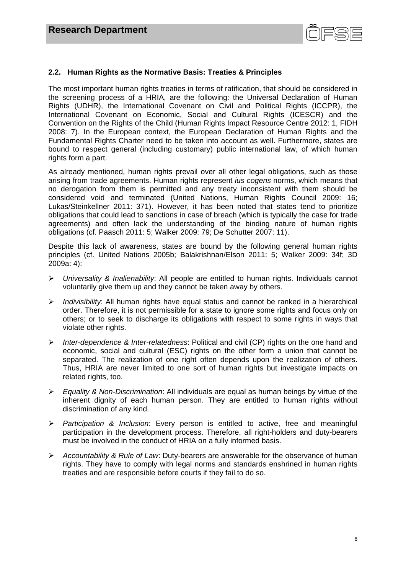

# **2.2. Human Rights as the Normative Basis: Treaties & Principles**

The most important human rights treaties in terms of ratification, that should be considered in the screening process of a HRIA, are the following: the Universal Declaration of Human Rights (UDHR), the International Covenant on Civil and Political Rights (ICCPR), the International Covenant on Economic, Social and Cultural Rights (ICESCR) and the Convention on the Rights of the Child (Human Rights Impact Resource Centre 2012: 1, FIDH 2008: 7). In the European context, the European Declaration of Human Rights and the Fundamental Rights Charter need to be taken into account as well. Furthermore, states are bound to respect general (including customary) public international law, of which human rights form a part.

As already mentioned, human rights prevail over all other legal obligations, such as those arising from trade agreements. Human rights represent *ius cogens* norms, which means that no derogation from them is permitted and any treaty inconsistent with them should be considered void and terminated (United Nations, Human Rights Council 2009: 16; Lukas/Steinkellner 2011: 371). However, it has been noted that states tend to prioritize obligations that could lead to sanctions in case of breach (which is typically the case for trade agreements) and often lack the understanding of the binding nature of human rights obligations (cf. Paasch 2011: 5; Walker 2009: 79; De Schutter 2007: 11).

Despite this lack of awareness, states are bound by the following general human rights principles (cf. United Nations 2005b; Balakrishnan/Elson 2011: 5; Walker 2009: 34f; 3D 2009a: 4):

- *Universality & Inalienability*: All people are entitled to human rights. Individuals cannot voluntarily give them up and they cannot be taken away by others.
- *Indivisibility*: All human rights have equal status and cannot be ranked in a hierarchical order. Therefore, it is not permissible for a state to ignore some rights and focus only on others; or to seek to discharge its obligations with respect to some rights in ways that violate other rights.
- *Inter-dependence & Inter-relatedness*: Political and civil (CP) rights on the one hand and economic, social and cultural (ESC) rights on the other form a union that cannot be separated. The realization of one right often depends upon the realization of others. Thus, HRIA are never limited to one sort of human rights but investigate impacts on related rights, too.
- *Equality & Non-Discrimination*: All individuals are equal as human beings by virtue of the inherent dignity of each human person. They are entitled to human rights without discrimination of any kind.
- *Participation & Inclusion*: Every person is entitled to active, free and meaningful participation in the development process. Therefore, all right-holders and duty-bearers must be involved in the conduct of HRIA on a fully informed basis.
- *Accountability & Rule of Law*: Duty-bearers are answerable for the observance of human rights. They have to comply with legal norms and standards enshrined in human rights treaties and are responsible before courts if they fail to do so.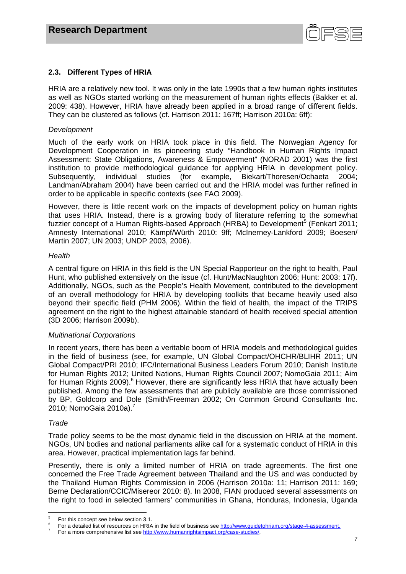

# **2.3. Different Types of HRIA**

HRIA are a relatively new tool. It was only in the late 1990s that a few human rights institutes as well as NGOs started working on the measurement of human rights effects (Bakker et al. 2009: 438). However, HRIA have already been applied in a broad range of different fields. They can be clustered as follows (cf. Harrison 2011: 167ff; Harrison 2010a: 6ff):

#### *Development*

Much of the early work on HRIA took place in this field. The Norwegian Agency for Development Cooperation in its pioneering study "Handbook in Human Rights Impact Assessment: State Obligations, Awareness & Empowerment" (NORAD 2001) was the first institution to provide methodological guidance for applying HRIA in development policy. Subsequently, individual studies (for example, Biekart/Thoresen/Ochaeta 2004; Landman/Abraham 2004) have been carried out and the HRIA model was further refined in order to be applicable in specific contexts (see FAO 2009).

However, there is little recent work on the impacts of development policy on human rights that uses HRIA. Instead, there is a growing body of literature referring to the somewhat fuzzier concept of a Human Rights-based Approach (HRBA) to Development<sup>5</sup> (Fenkart 2011; Amnesty International 2010; Kämpf/Würth 2010: 9ff; McInerney-Lankford 2009; Boesen/ Martin 2007; UN 2003; UNDP 2003, 2006).

#### *Health*

A central figure on HRIA in this field is the UN Special Rapporteur on the right to health, Paul Hunt, who published extensively on the issue (cf. Hunt/MacNaughton 2006; Hunt: 2003: 17f). Additionally, NGOs, such as the People's Health Movement, contributed to the development of an overall methodology for HRIA by developing toolkits that became heavily used also beyond their specific field (PHM 2006). Within the field of health, the impact of the TRIPS agreement on the right to the highest attainable standard of health received special attention (3D 2006; Harrison 2009b).

# *Multinational Corporations*

In recent years, there has been a veritable boom of HRIA models and methodological guides in the field of business (see, for example, UN Global Compact/OHCHR/BLIHR 2011; UN Global Compact/PRI 2010; IFC/International Business Leaders Forum 2010; Danish Institute for Human Rights 2012; United Nations, Human Rights Council 2007; NomoGaia 2011; Aim for Human Rights 2009).<sup>6</sup> However, there are significantly less HRIA that have actually been published. Among the few assessments that are publicly available are those commissioned by BP, Goldcorp and Dole (Smith/Freeman 2002; On Common Ground Consultants Inc. 2010; NomoGaia 2010a).<sup>7</sup>

#### *Trade*

Trade policy seems to be the most dynamic field in the discussion on HRIA at the moment. NGOs, UN bodies and national parliaments alike call for a systematic conduct of HRIA in this area. However, practical implementation lags far behind.

Presently, there is only a limited number of HRIA on trade agreements. The first one concerned the Free Trade Agreement between Thailand and the US and was conducted by the Thailand Human Rights Commission in 2006 (Harrison 2010a: 11; Harrison 2011: 169; Berne Declaration/CCIC/Misereor 2010: 8). In 2008, FIAN produced several assessments on the right to food in selected farmers' communities in Ghana, Honduras, Indonesia, Uganda

 5 For this concept see below section 3.1.

<sup>6</sup> For a detailed list of resources on HRIA in the field of business see http://www.guidetohriam.org/stage-4-assessment.

For a more comprehensive list see http://www.humanrightsimpact.org/case-studies/.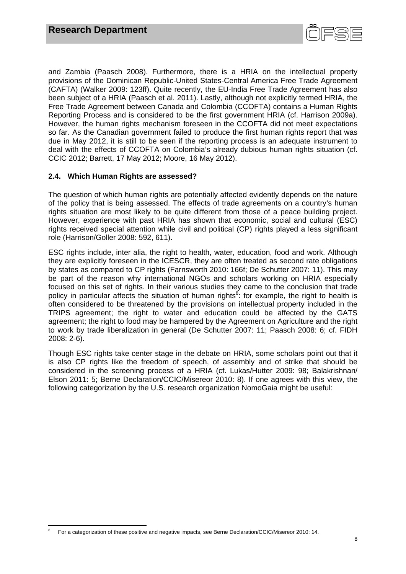

and Zambia (Paasch 2008). Furthermore, there is a HRIA on the intellectual property provisions of the Dominican Republic-United States-Central America Free Trade Agreement (CAFTA) (Walker 2009: 123ff). Quite recently, the EU-India Free Trade Agreement has also been subject of a HRIA (Paasch et al. 2011). Lastly, although not explicitly termed HRIA, the Free Trade Agreement between Canada and Colombia (CCOFTA) contains a Human Rights Reporting Process and is considered to be the first government HRIA (cf. Harrison 2009a). However, the human rights mechanism foreseen in the CCOFTA did not meet expectations so far. As the Canadian government failed to produce the first human rights report that was due in May 2012, it is still to be seen if the reporting process is an adequate instrument to deal with the effects of CCOFTA on Colombia's already dubious human rights situation (cf. CCIC 2012; Barrett, 17 May 2012; Moore, 16 May 2012).

# **2.4. Which Human Rights are assessed?**

The question of which human rights are potentially affected evidently depends on the nature of the policy that is being assessed. The effects of trade agreements on a country's human rights situation are most likely to be quite different from those of a peace building project. However, experience with past HRIA has shown that economic, social and cultural (ESC) rights received special attention while civil and political (CP) rights played a less significant role (Harrison/Goller 2008: 592, 611).

ESC rights include, inter alia, the right to health, water, education, food and work. Although they are explicitly foreseen in the ICESCR, they are often treated as second rate obligations by states as compared to CP rights (Farnsworth 2010: 166f; De Schutter 2007: 11). This may be part of the reason why international NGOs and scholars working on HRIA especially focused on this set of rights. In their various studies they came to the conclusion that trade policy in particular affects the situation of human rights<sup>8</sup>: for example, the right to health is often considered to be threatened by the provisions on intellectual property included in the TRIPS agreement; the right to water and education could be affected by the GATS agreement; the right to food may be hampered by the Agreement on Agriculture and the right to work by trade liberalization in general (De Schutter 2007: 11; Paasch 2008: 6; cf. FIDH 2008: 2-6).

Though ESC rights take center stage in the debate on HRIA, some scholars point out that it is also CP rights like the freedom of speech, of assembly and of strike that should be considered in the screening process of a HRIA (cf. Lukas/Hutter 2009: 98; Balakrishnan/ Elson 2011: 5; Berne Declaration/CCIC/Misereor 2010: 8). If one agrees with this view, the following categorization by the U.S. research organization NomoGaia might be useful:

<sup>8</sup> For a categorization of these positive and negative impacts, see Berne Declaration/CCIC/Misereor 2010: 14.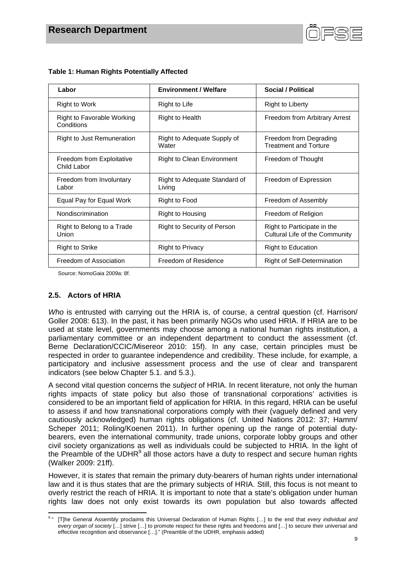

| Labor                                    | <b>Environment / Welfare</b>            | Social / Political                                            |
|------------------------------------------|-----------------------------------------|---------------------------------------------------------------|
| Right to Work                            | Right to Life                           | <b>Right to Liberty</b>                                       |
| Right to Favorable Working<br>Conditions | <b>Right to Health</b>                  | Freedom from Arbitrary Arrest                                 |
| <b>Right to Just Remuneration</b>        | Right to Adequate Supply of<br>Water    | Freedom from Degrading<br><b>Treatment and Torture</b>        |
| Freedom from Exploitative<br>Child Labor | Right to Clean Environment              | Freedom of Thought                                            |
| Freedom from Involuntary<br>Labor        | Right to Adequate Standard of<br>Living | Freedom of Expression                                         |
| Equal Pay for Equal Work                 | Right to Food                           | Freedom of Assembly                                           |
| Nondiscrimination                        | Right to Housing                        | Freedom of Religion                                           |
| Right to Belong to a Trade<br>Union      | Right to Security of Person             | Right to Participate in the<br>Cultural Life of the Community |
| <b>Right to Strike</b>                   | <b>Right to Privacy</b>                 | <b>Right to Education</b>                                     |
| Freedom of Association                   | Freedom of Residence                    | <b>Right of Self-Determination</b>                            |

#### **Table 1: Human Rights Potentially Affected**

Source: NomoGaia 2009a: 8f.

# **2.5. Actors of HRIA**

*Who* is entrusted with carrying out the HRIA is, of course, a central question (cf. Harrison/ Goller 2008: 613). In the past, it has been primarily NGOs who used HRIA. If HRIA are to be used at state level, governments may choose among a national human rights institution, a parliamentary committee or an independent department to conduct the assessment (cf. Berne Declaration/CCIC/Misereor 2010: 15f). In any case, certain principles must be respected in order to guarantee independence and credibility. These include, for example, a participatory and inclusive assessment process and the use of clear and transparent indicators (see below Chapter 5.1. and 5.3.).

A second vital question concerns the *subject* of HRIA. In recent literature, not only the human rights impacts of state policy but also those of transnational corporations' activities is considered to be an important field of application for HRIA. In this regard, HRIA can be useful to assess if and how transnational corporations comply with their (vaguely defined and very cautiously acknowledged) human rights obligations (cf. United Nations 2012: 37; Hamm/ Scheper 2011; Roling/Koenen 2011). In further opening up the range of potential dutybearers, even the international community, trade unions, corporate lobby groups and other civil society organizations as well as individuals could be subjected to HRIA. In the light of the Preamble of the UDHR $<sup>9</sup>$  all those actors have a duty to respect and secure human rights</sup> (Walker 2009: 21ff).

However, it is *states* that remain the primary duty-bearers of human rights under international law and it is thus states that are the primary subjects of HRIA. Still, this focus is not meant to overly restrict the reach of HRIA. It is important to note that a state's obligation under human rights law does not only exist towards its own population but also towards affected

 9 " [T]he General Assembly proclaims this Universal Declaration of Human Rights […] to the end that *every individual and every organ of society* […] strive […] to promote respect for these rights and freedoms and […] to secure their universal and effective recognition and observance […]." (Preamble of the UDHR, emphasis added)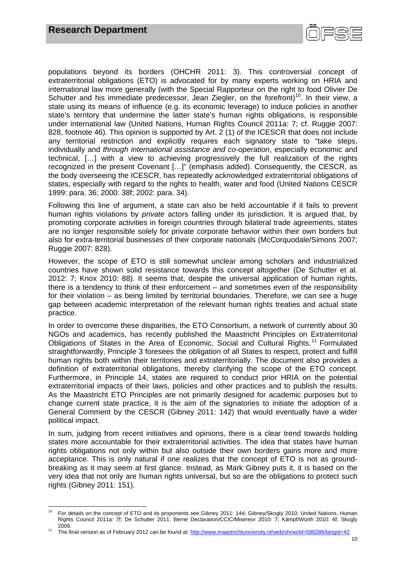

populations beyond its borders (OHCHR 2011: 3). This controversial concept of extraterritorial obligations (ETO) is advocated for by many experts working on HRIA and international law more generally (with the Special Rapporteur on the right to food Olivier De Schutter and his immediate predecessor, Jean Ziegler, on the forefront)<sup>10</sup>. In their view, a state using its means of influence (e.g. its economic leverage) to induce policies in another state's territory that undermine the latter state's human rights obligations, is responsible under international law (United Nations, Human Rights Council 2011a: 7; cf. Ruggie 2007: 828, footnote 46). This opinion is supported by Art. 2 (1) of the ICESCR that does not include any territorial restriction and explicitly requires each signatory state to "take steps, individually and *through international assistance and co-operation*, especially economic and technical, […] with a view to achieving progressively the full realization of the rights recognized in the present Covenant […]" (emphasis added). Consequently, the CESCR, as the body overseeing the ICESCR, has repeatedly acknowledged extraterritorial obligations of states, especially with regard to the rights to health, water and food (United Nations CESCR 1999: para. 36; 2000: 38f; 2002: para. 34).

Following this line of argument, a state can also be held accountable if it fails to prevent human rights violations by *private* actors falling under its jurisdiction. It is argued that, by promoting corporate activities in foreign countries through bilateral trade agreements, states are no longer responsible solely for private corporate behavior within their own borders but also for extra-territorial businesses of their corporate nationals (McCorquodale/Simons 2007; Ruggie 2007: 828).

However, the scope of ETO is still somewhat unclear among scholars and industrialized countries have shown solid resistance towards this concept altogether (De Schutter et al. 2012: 7; Knox 2010: 88). It seems that, despite the universal application of human rights, there is a tendency to think of their enforcement – and sometimes even of the responsibility for their violation – as being limited by territorial boundaries. Therefore, we can see a huge gap between academic interpretation of the relevant human rights treaties and actual state practice.

In order to overcome these disparities, the ETO Consortium, a network of currently about 30 NGOs and academics, has recently published the Maastricht Principles on Extraterritorial Obligations of States in the Area of Economic, Social and Cultural Rights.<sup>11</sup> Formulated straightforwardly, Principle 3 foresees the obligation of all States to respect, protect and fulfill human rights both within their territories and extraterritorially. The document also provides a definition of extraterritorial obligations, thereby clarifying the scope of the ETO concept. Furthermore, in Principle 14, states are required to conduct prior HRIA on the potential extraterritorial impacts of their laws, policies and other practices and to publish the results. As the Maastricht ETO Principles are not primarily designed for academic purposes but to change current state practice, it is the aim of the signatories to initiate the adoption of a General Comment by the CESCR (Gibney 2011: 142) that would eventually have a wider political impact.

In sum, judging from recent initiatives and opinions, there is a clear trend towards holding states more accountable for their extraterritorial activities. The idea that states have human rights obligations not only within but also outside their own borders gains more and more acceptance. This is only natural if one realizes that the concept of ETO is not as groundbreaking as it may seem at first glance. Instead, as Mark Gibney puts it, it is based on the very idea that not only are human rights universal, but so are the obligations to protect such rights (Gibney 2011: 151).

 <sup>10</sup> For details on the concept of ETO and its proponents see Gibney 2011: 144: Gibney/Skogly 2010; United Nations, Human Rights Council 2011a: 7f; De Schutter 2011; Berne Declaration/CCIC/Misereor 2010: 7; Kämpf/Würth 2010: 6f; Skogly

<sup>2006. 11</sup> The final version as of February 2012 can be found at: http://www.maastrichtuniversity.nl/web/show/id=596286/langid=42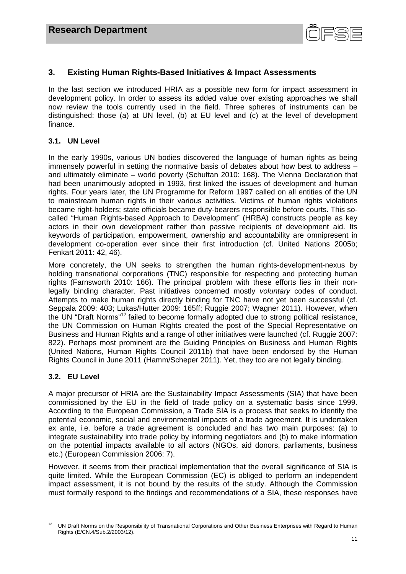

# **3. Existing Human Rights-Based Initiatives & Impact Assessments**

In the last section we introduced HRIA as a possible new form for impact assessment in development policy. In order to assess its added value over existing approaches we shall now review the tools currently used in the field. Three spheres of instruments can be distinguished: those (a) at UN level, (b) at EU level and (c) at the level of development finance.

# **3.1. UN Level**

In the early 1990s, various UN bodies discovered the language of human rights as being immensely powerful in setting the normative basis of debates about how best to address – and ultimately eliminate – world poverty (Schuftan 2010: 168). The Vienna Declaration that had been unanimously adopted in 1993, first linked the issues of development and human rights. Four years later, the UN Programme for Reform 1997 called on all entities of the UN to mainstream human rights in their various activities. Victims of human rights violations became right-holders; state officials became duty-bearers responsible before courts. This socalled "Human Rights-based Approach to Development" (HRBA) constructs people as key actors in their own development rather than passive recipients of development aid. Its keywords of participation, empowerment, ownership and accountability are omnipresent in development co-operation ever since their first introduction (cf. United Nations 2005b; Fenkart 2011: 42, 46).

More concretely, the UN seeks to strengthen the human rights-development-nexus by holding transnational corporations (TNC) responsible for respecting and protecting human rights (Farnsworth 2010: 166). The principal problem with these efforts lies in their nonlegally binding character. Past initiatives concerned mostly *voluntary* codes of conduct. Attempts to make human rights directly binding for TNC have not yet been successful (cf. Seppala 2009: 403; Lukas/Hutter 2009: 165ff; Ruggie 2007; Wagner 2011). However, when the UN "Draft Norms"12 failed to become formally adopted due to strong political resistance, the UN Commission on Human Rights created the post of the Special Representative on Business and Human Rights and a range of other initiatives were launched (cf. Ruggie 2007: 822). Perhaps most prominent are the Guiding Principles on Business and Human Rights (United Nations, Human Rights Council 2011b) that have been endorsed by the Human Rights Council in June 2011 (Hamm/Scheper 2011). Yet, they too are not legally binding.

# **3.2. EU Level**

A major precursor of HRIA are the Sustainability Impact Assessments (SIA) that have been commissioned by the EU in the field of trade policy on a systematic basis since 1999. According to the European Commission, a Trade SIA is a process that seeks to identify the potential economic, social and environmental impacts of a trade agreement. It is undertaken ex ante, i.e. before a trade agreement is concluded and has two main purposes: (a) to integrate sustainability into trade policy by informing negotiators and (b) to make information on the potential impacts available to all actors (NGOs, aid donors, parliaments, business etc.) (European Commission 2006: 7).

However, it seems from their practical implementation that the overall significance of SIA is quite limited. While the European Commission (EC) is obliged to perform an independent impact assessment, it is not bound by the results of the study. Although the Commission must formally respond to the findings and recommendations of a SIA, these responses have

<sup>&</sup>lt;sup>12</sup> UN Draft Norms on the Responsibility of Transnational Corporations and Other Business Enterprises with Regard to Human Rights (E/CN.4/Sub.2/2003/12).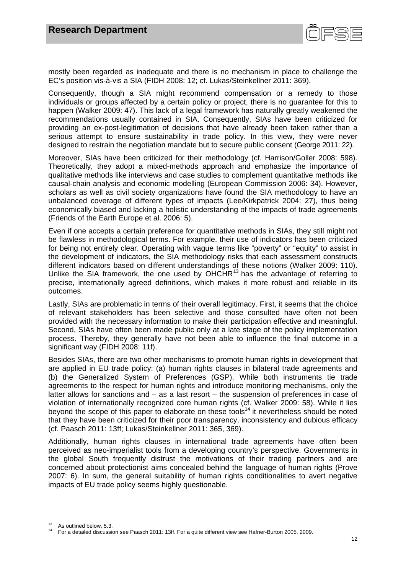

mostly been regarded as inadequate and there is no mechanism in place to challenge the EC's position vis-à-vis a SIA (FIDH 2008: 12; cf. Lukas/Steinkellner 2011: 369).

Consequently, though a SIA might recommend compensation or a remedy to those individuals or groups affected by a certain policy or project, there is no guarantee for this to happen (Walker 2009: 47). This lack of a legal framework has naturally greatly weakened the recommendations usually contained in SIA. Consequently, SIAs have been criticized for providing an ex-post-legitimation of decisions that have already been taken rather than a serious attempt to ensure sustainability in trade policy. In this view, they were never designed to restrain the negotiation mandate but to secure public consent (George 2011: 22).

Moreover, SIAs have been criticized for their methodology (cf. Harrison/Goller 2008: 598). Theoretically, they adopt a mixed-methods approach and emphasize the importance of qualitative methods like interviews and case studies to complement quantitative methods like causal-chain analysis and economic modelling (European Commission 2006: 34). However, scholars as well as civil society organizations have found the SIA methodology to have an unbalanced coverage of different types of impacts (Lee/Kirkpatrick 2004: 27), thus being economically biased and lacking a holistic understanding of the impacts of trade agreements (Friends of the Earth Europe et al. 2006: 5).

Even if one accepts a certain preference for quantitative methods in SIAs, they still might not be flawless in methodological terms. For example, their use of indicators has been criticized for being not entirely clear. Operating with vague terms like "poverty" or "equity" to assist in the development of indicators, the SIA methodology risks that each assessment constructs different indicators based on different understandings of these notions (Walker 2009: 110). Unlike the SIA framework, the one used by  $OHCHR<sup>13</sup>$  has the advantage of referring to precise, internationally agreed definitions, which makes it more robust and reliable in its outcomes.

Lastly, SIAs are problematic in terms of their overall legitimacy. First, it seems that the choice of relevant stakeholders has been selective and those consulted have often not been provided with the necessary information to make their participation effective and meaningful. Second, SIAs have often been made public only at a late stage of the policy implementation process. Thereby, they generally have not been able to influence the final outcome in a significant way (FIDH 2008: 11f).

Besides SIAs, there are two other mechanisms to promote human rights in development that are applied in EU trade policy: (a) human rights clauses in bilateral trade agreements and (b) the Generalized System of Preferences (GSP). While both instruments tie trade agreements to the respect for human rights and introduce monitoring mechanisms, only the latter allows for sanctions and – as a last resort – the suspension of preferences in case of violation of internationally recognized core human rights (cf. Walker 2009: 58). While it lies beyond the scope of this paper to elaborate on these tools<sup>14</sup> it nevertheless should be noted that they have been criticized for their poor transparency, inconsistency and dubious efficacy (cf. Paasch 2011: 13ff; Lukas/Steinkellner 2011: 365, 369).

Additionally, human rights clauses in international trade agreements have often been perceived as neo-imperialist tools from a developing country's perspective. Governments in the global South frequently distrust the motivations of their trading partners and are concerned about protectionist aims concealed behind the language of human rights (Prove 2007: 6). In sum, the general suitability of human rights conditionalities to avert negative impacts of EU trade policy seems highly questionable.

As outlined below, 5.3.<br>For a detailed discussion see Paasch 2011: 13ff. For a quite different view see Hafner-Burton 2005, 2009.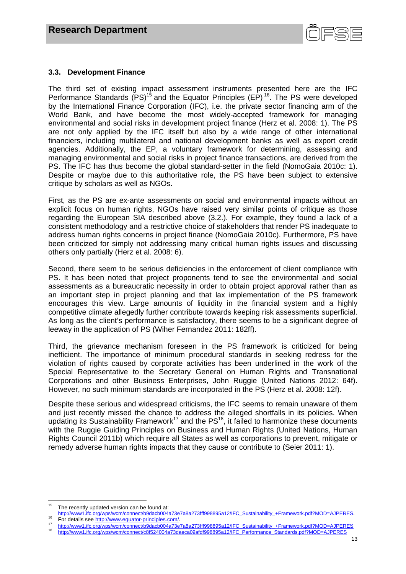

#### **3.3. Development Finance**

The third set of existing impact assessment instruments presented here are the IFC Performance Standards  $(PS)^{15}$  and the Equator Principles (EP)<sup>16</sup>. The PS were developed by the International Finance Corporation (IFC), i.e. the private sector financing arm of the World Bank, and have become the most widely-accepted framework for managing environmental and social risks in development project finance (Herz et al. 2008: 1). The PS are not only applied by the IFC itself but also by a wide range of other international financiers, including multilateral and national development banks as well as export credit agencies. Additionally, the EP, a voluntary framework for determining, assessing and managing environmental and social risks in project finance transactions, are derived from the PS. The IFC has thus become the global standard-setter in the field (NomoGaia 2010c: 1). Despite or maybe due to this authoritative role, the PS have been subject to extensive critique by scholars as well as NGOs.

First, as the PS are ex-ante assessments on social and environmental impacts without an explicit focus on human rights, NGOs have raised very similar points of critique as those regarding the European SIA described above (3.2.). For example, they found a lack of a consistent methodology and a restrictive choice of stakeholders that render PS inadequate to address human rights concerns in project finance (NomoGaia 2010c). Furthermore, PS have been criticized for simply not addressing many critical human rights issues and discussing others only partially (Herz et al. 2008: 6).

Second, there seem to be serious deficiencies in the enforcement of client compliance with PS. It has been noted that project proponents tend to see the environmental and social assessments as a bureaucratic necessity in order to obtain project approval rather than as an important step in project planning and that lax implementation of the PS framework encourages this view. Large amounts of liquidity in the financial system and a highly competitive climate allegedly further contribute towards keeping risk assessments superficial. As long as the client's performance is satisfactory, there seems to be a significant degree of leeway in the application of PS (Wiher Fernandez 2011: 182ff).

Third, the grievance mechanism foreseen in the PS framework is criticized for being inefficient. The importance of minimum procedural standards in seeking redress for the violation of rights caused by corporate activities has been underlined in the work of the Special Representative to the Secretary General on Human Rights and Transnational Corporations and other Business Enterprises, John Ruggie (United Nations 2012: 64f). However, no such minimum standards are incorporated in the PS (Herz et al. 2008: 12f).

Despite these serious and widespread criticisms, the IFC seems to remain unaware of them and just recently missed the chance to address the alleged shortfalls in its policies. When updating its Sustainability Framework<sup>17</sup> and the PS<sup>18</sup>, it failed to harmonize these documents with the Ruggie Guiding Principles on Business and Human Rights (United Nations, Human Rights Council 2011b) which require all States as well as corporations to prevent, mitigate or remedy adverse human rights impacts that they cause or contribute to (Seier 2011: 1).

<sup>&</sup>lt;sup>15</sup> The recently updated version can be found at:<br>http://www1.ifc.org/wps/wcm/connect/b9dacb004a73e7a8a273fff998895a12/IFC\_Sustainability\_+Framework.pdf?MOD=AJPERES.

For details see http://www.equator-principles.com/.<br>
http://www.1.ifc.org/wps/wcm/connect/b9dacb004a73e7a8a273fff998895a12/IFC\_Sustainability\_+Framework.pdf?MOD=AJPERES<br>
http://www.1.ifc.org/wps/wcm/connect/c8f524004a73e7a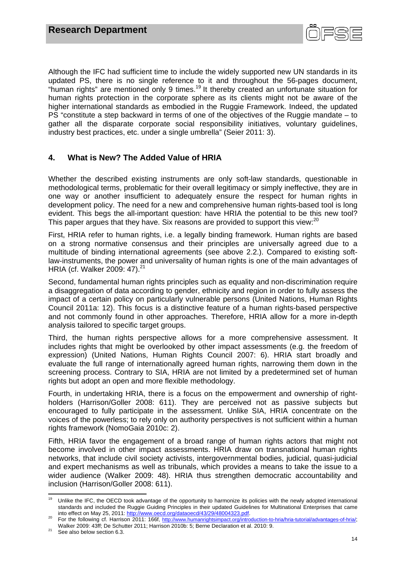

Although the IFC had sufficient time to include the widely supported new UN standards in its updated PS, there is no single reference to it and throughout the 56-pages document, "human rights" are mentioned only 9 times.<sup>19</sup> It thereby created an unfortunate situation for human rights protection in the corporate sphere as its clients might not be aware of the higher international standards as embodied in the Ruggie Framework. Indeed, the updated PS "constitute a step backward in terms of one of the objectives of the Ruggie mandate – to gather all the disparate corporate social responsibility initiatives, voluntary guidelines, industry best practices, etc. under a single umbrella" (Seier 2011: 3).

# **4. What is New? The Added Value of HRIA**

Whether the described existing instruments are only soft-law standards, questionable in methodological terms, problematic for their overall legitimacy or simply ineffective, they are in one way or another insufficient to adequately ensure the respect for human rights in development policy. The need for a new and comprehensive human rights-based tool is long evident. This begs the all-important question: have HRIA the potential to be this new tool? This paper argues that they have. Six reasons are provided to support this view:<sup>20</sup>

First, HRIA refer to human rights, i.e. a legally binding framework. Human rights are based on a strong normative consensus and their principles are universally agreed due to a multitude of binding international agreements (see above 2.2.). Compared to existing softlaw-instruments, the power and universality of human rights is one of the main advantages of HRIA (cf. Walker 2009: 47).<sup>21</sup>

Second, fundamental human rights principles such as equality and non-discrimination require a disaggregation of data according to gender, ethnicity and region in order to fully assess the impact of a certain policy on particularly vulnerable persons (United Nations, Human Rights Council 2011a: 12). This focus is a distinctive feature of a human rights-based perspective and not commonly found in other approaches. Therefore, HRIA allow for a more in-depth analysis tailored to specific target groups.

Third, the human rights perspective allows for a more comprehensive assessment. It includes rights that might be overlooked by other impact assessments (e.g. the freedom of expression) (United Nations, Human Rights Council 2007: 6). HRIA start broadly and evaluate the full range of internationally agreed human rights, narrowing them down in the screening process. Contrary to SIA, HRIA are not limited by a predetermined set of human rights but adopt an open and more flexible methodology.

Fourth, in undertaking HRIA, there is a focus on the empowerment and ownership of rightholders (Harrison/Goller 2008: 611). They are perceived not as passive subjects but encouraged to fully participate in the assessment. Unlike SIA, HRIA concentrate on the voices of the powerless; to rely only on authority perspectives is not sufficient within a human rights framework (NomoGaia 2010c: 2).

Fifth, HRIA favor the engagement of a broad range of human rights actors that might not become involved in other impact assessments. HRIA draw on transnational human rights networks, that include civil society activists, intergovernmental bodies, judicial, quasi-judicial and expert mechanisms as well as tribunals, which provides a means to take the issue to a wider audience (Walker 2009: 48). HRIA thus strengthen democratic accountability and inclusion (Harrison/Goller 2008: 611).

 <sup>19</sup> Unlike the IFC, the OECD took advantage of the opportunity to harmonize its policies with the newly adopted international standards and included the Ruggie Guiding Principles in their updated Guidelines for Multinational Enterprises that came<br>into effect on May 25, 2011: http://www.oecd.org/dataoecd/43/29/48004323.pdf.

<sup>&</sup>lt;sup>20</sup> For the following cf. Harrison 2011: 166f, http://www.humanrightsimpact.org/introduction-to-hria/hria-tutorial/advantages-of-hria/; Walker 2009: 43ff; De Schutter 2011; Harrison 2010b: 5; Berne Declaration et al. 2010: 9.<br>See also below section 6.3.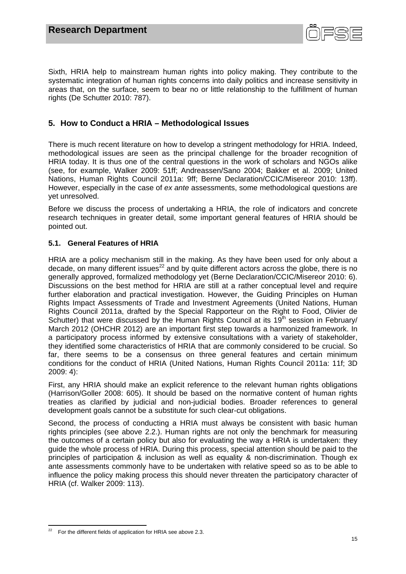

Sixth, HRIA help to mainstream human rights into policy making. They contribute to the systematic integration of human rights concerns into daily politics and increase sensitivity in areas that, on the surface, seem to bear no or little relationship to the fulfillment of human rights (De Schutter 2010: 787).

# **5. How to Conduct a HRIA – Methodological Issues**

There is much recent literature on how to develop a stringent methodology for HRIA. Indeed, methodological issues are seen as the principal challenge for the broader recognition of HRIA today. It is thus one of the central questions in the work of scholars and NGOs alike (see, for example, Walker 2009: 51ff; Andreassen/Sano 2004; Bakker et al. 2009; United Nations, Human Rights Council 2011a: 9ff; Berne Declaration/CCIC/Misereor 2010: 13ff). However, especially in the case of *ex ante* assessments, some methodological questions are yet unresolved.

Before we discuss the process of undertaking a HRIA, the role of indicators and concrete research techniques in greater detail, some important general features of HRIA should be pointed out.

# **5.1. General Features of HRIA**

HRIA are a policy mechanism still in the making. As they have been used for only about a decade, on many different issues<sup>22</sup> and by quite different actors across the globe, there is no generally approved, formalized methodology yet (Berne Declaration/CCIC/Misereor 2010: 6). Discussions on the best method for HRIA are still at a rather conceptual level and require further elaboration and practical investigation. However, the Guiding Principles on Human Rights Impact Assessments of Trade and Investment Agreements (United Nations, Human Rights Council 2011a, drafted by the Special Rapporteur on the Right to Food, Olivier de Schutter) that were discussed by the Human Rights Council at its  $19<sup>th</sup>$  session in February/ March 2012 (OHCHR 2012) are an important first step towards a harmonized framework. In a participatory process informed by extensive consultations with a variety of stakeholder, they identified some characteristics of HRIA that are commonly considered to be crucial. So far, there seems to be a consensus on three general features and certain minimum conditions for the conduct of HRIA (United Nations, Human Rights Council 2011a: 11f; 3D 2009: 4):

First, any HRIA should make an explicit reference to the relevant human rights obligations (Harrison/Goller 2008: 605). It should be based on the normative content of human rights treaties as clarified by judicial and non-judicial bodies. Broader references to general development goals cannot be a substitute for such clear-cut obligations.

Second, the process of conducting a HRIA must always be consistent with basic human rights principles (see above 2.2.). Human rights are not only the benchmark for measuring the outcomes of a certain policy but also for evaluating the way a HRIA is undertaken: they guide the whole process of HRIA. During this process, special attention should be paid to the principles of participation & inclusion as well as equality & non-discrimination. Though ex ante assessments commonly have to be undertaken with relative speed so as to be able to influence the policy making process this should never threaten the participatory character of HRIA (cf. Walker 2009: 113).

 22 For the different fields of application for HRIA see above 2.3.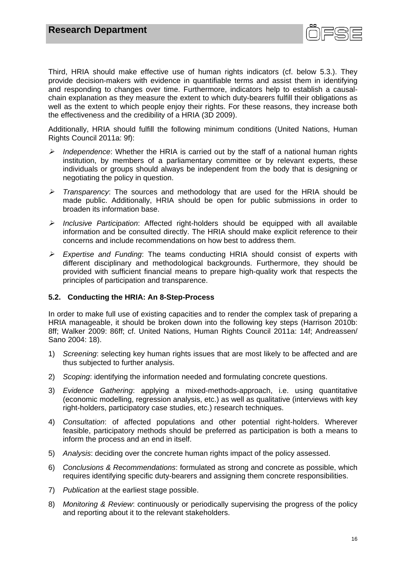

Third, HRIA should make effective use of human rights indicators (cf. below 5.3.). They provide decision-makers with evidence in quantifiable terms and assist them in identifying and responding to changes over time. Furthermore, indicators help to establish a causalchain explanation as they measure the extent to which duty-bearers fulfill their obligations as well as the extent to which people enjoy their rights. For these reasons, they increase both the effectiveness and the credibility of a HRIA (3D 2009).

Additionally, HRIA should fulfill the following minimum conditions (United Nations, Human Rights Council 2011a: 9f):

- *Independence*: Whether the HRIA is carried out by the staff of a national human rights institution, by members of a parliamentary committee or by relevant experts, these individuals or groups should always be independent from the body that is designing or negotiating the policy in question.
- *Transparency*: The sources and methodology that are used for the HRIA should be made public. Additionally, HRIA should be open for public submissions in order to broaden its information base.
- *Inclusive Participation*: Affected right-holders should be equipped with all available information and be consulted directly. The HRIA should make explicit reference to their concerns and include recommendations on how best to address them.
- *Expertise and Funding*: The teams conducting HRIA should consist of experts with different disciplinary and methodological backgrounds. Furthermore, they should be provided with sufficient financial means to prepare high-quality work that respects the principles of participation and transparence.

# **5.2. Conducting the HRIA: An 8-Step-Process**

In order to make full use of existing capacities and to render the complex task of preparing a HRIA manageable, it should be broken down into the following key steps (Harrison 2010b: 8ff; Walker 2009: 86ff; cf. United Nations, Human Rights Council 2011a: 14f; Andreassen/ Sano 2004: 18).

- 1) *Screening*: selecting key human rights issues that are most likely to be affected and are thus subjected to further analysis.
- 2) *Scoping*: identifying the information needed and formulating concrete questions.
- 3) *Evidence Gathering*: applying a mixed-methods-approach, i.e. using quantitative (economic modelling, regression analysis, etc.) as well as qualitative (interviews with key right-holders, participatory case studies, etc.) research techniques.
- 4) *Consultation*: of affected populations and other potential right-holders. Wherever feasible, participatory methods should be preferred as participation is both a means to inform the process and an end in itself.
- 5) *Analysis*: deciding over the concrete human rights impact of the policy assessed.
- 6) *Conclusions & Recommendations*: formulated as strong and concrete as possible, which requires identifying specific duty-bearers and assigning them concrete responsibilities.
- 7) *Publication* at the earliest stage possible.
- 8) *Monitoring & Review*: continuously or periodically supervising the progress of the policy and reporting about it to the relevant stakeholders.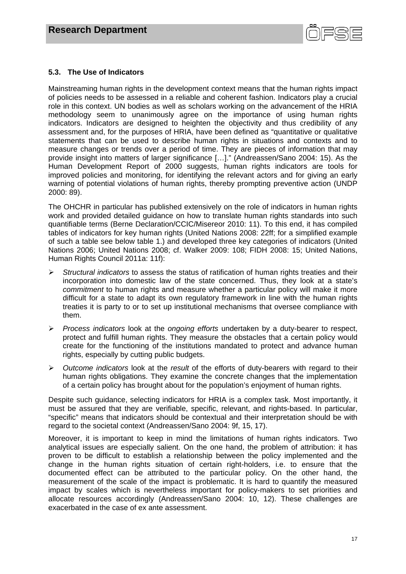

# **5.3. The Use of Indicators**

Mainstreaming human rights in the development context means that the human rights impact of policies needs to be assessed in a reliable and coherent fashion. Indicators play a crucial role in this context. UN bodies as well as scholars working on the advancement of the HRIA methodology seem to unanimously agree on the importance of using human rights indicators. Indicators are designed to heighten the objectivity and thus credibility of any assessment and, for the purposes of HRIA, have been defined as "quantitative or qualitative statements that can be used to describe human rights in situations and contexts and to measure changes or trends over a period of time. They are pieces of information that may provide insight into matters of larger significance […]." (Andreassen/Sano 2004: 15). As the Human Development Report of 2000 suggests, human rights indicators are tools for improved policies and monitoring, for identifying the relevant actors and for giving an early warning of potential violations of human rights, thereby prompting preventive action (UNDP 2000: 89).

The OHCHR in particular has published extensively on the role of indicators in human rights work and provided detailed guidance on how to translate human rights standards into such quantifiable terms (Berne Declaration/CCIC/Misereor 2010: 11). To this end, it has compiled tables of indicators for key human rights (United Nations 2008: 22ff; for a simplified example of such a table see below table 1.) and developed three key categories of indicators (United Nations 2006; United Nations 2008; cf. Walker 2009: 108; FIDH 2008: 15; United Nations, Human Rights Council 2011a: 11f):

- *Structural indicators* to assess the status of ratification of human rights treaties and their incorporation into domestic law of the state concerned. Thus, they look at a state's *commitment* to human rights and measure whether a particular policy will make it more difficult for a state to adapt its own regulatory framework in line with the human rights treaties it is party to or to set up institutional mechanisms that oversee compliance with them.
- *Process indicators* look at the *ongoing efforts* undertaken by a duty-bearer to respect, protect and fulfill human rights. They measure the obstacles that a certain policy would create for the functioning of the institutions mandated to protect and advance human rights, especially by cutting public budgets.
- *Outcome indicators* look at the *result* of the efforts of duty-bearers with regard to their human rights obligations. They examine the concrete changes that the implementation of a certain policy has brought about for the population's enjoyment of human rights.

Despite such guidance, selecting indicators for HRIA is a complex task. Most importantly, it must be assured that they are verifiable, specific, relevant, and rights-based. In particular, "specific" means that indicators should be contextual and their interpretation should be with regard to the societal context (Andreassen/Sano 2004: 9f, 15, 17).

Moreover, it is important to keep in mind the limitations of human rights indicators. Two analytical issues are especially salient. On the one hand, the problem of attribution: it has proven to be difficult to establish a relationship between the policy implemented and the change in the human rights situation of certain right-holders, i.e. to ensure that the documented effect can be attributed to the particular policy. On the other hand, the measurement of the scale of the impact is problematic. It is hard to quantify the measured impact by scales which is nevertheless important for policy-makers to set priorities and allocate resources accordingly (Andreassen/Sano 2004: 10, 12). These challenges are exacerbated in the case of ex ante assessment.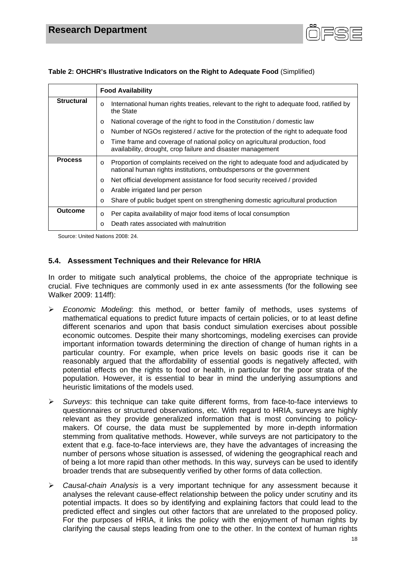

|                   | <b>Food Availability</b>                                                                                                                                             |  |
|-------------------|----------------------------------------------------------------------------------------------------------------------------------------------------------------------|--|
| <b>Structural</b> | International human rights treaties, relevant to the right to adequate food, ratified by<br>$\circ$<br>the State                                                     |  |
|                   | National coverage of the right to food in the Constitution / domestic law<br>$\circ$                                                                                 |  |
|                   | Number of NGOs registered / active for the protection of the right to adequate food<br>$\Omega$                                                                      |  |
|                   | Time frame and coverage of national policy on agricultural production, food<br>$\circ$<br>availability, drought, crop failure and disaster management                |  |
| <b>Process</b>    | Proportion of complaints received on the right to adequate food and adjudicated by<br>$\circ$<br>national human rights institutions, ombudspersons or the government |  |
|                   | Net official development assistance for food security received / provided<br>$\circ$                                                                                 |  |
|                   | Arable irrigated land per person<br>$\circ$                                                                                                                          |  |
|                   | Share of public budget spent on strengthening domestic agricultural production<br>$\circ$                                                                            |  |
| <b>Outcome</b>    | Per capita availability of major food items of local consumption<br>$\circ$                                                                                          |  |
|                   | Death rates associated with malnutrition<br>$\Omega$                                                                                                                 |  |

**Table 2: OHCHR's Illustrative Indicators on the Right to Adequate Food** (Simplified)

Source: United Nations 2008: 24.

# **5.4. Assessment Techniques and their Relevance for HRIA**

In order to mitigate such analytical problems, the choice of the appropriate technique is crucial. Five techniques are commonly used in ex ante assessments (for the following see Walker 2009: 114ff):

- *Economic Modeling*: this method, or better family of methods, uses systems of mathematical equations to predict future impacts of certain policies, or to at least define different scenarios and upon that basis conduct simulation exercises about possible economic outcomes. Despite their many shortcomings, modeling exercises can provide important information towards determining the direction of change of human rights in a particular country. For example, when price levels on basic goods rise it can be reasonably argued that the affordability of essential goods is negatively affected, with potential effects on the rights to food or health, in particular for the poor strata of the population. However, it is essential to bear in mind the underlying assumptions and heuristic limitations of the models used.
- *Surveys*: this technique can take quite different forms, from face-to-face interviews to questionnaires or structured observations, etc. With regard to HRIA, surveys are highly relevant as they provide generalized information that is most convincing to policymakers. Of course, the data must be supplemented by more in-depth information stemming from qualitative methods. However, while surveys are not participatory to the extent that e.g. face-to-face interviews are, they have the advantages of increasing the number of persons whose situation is assessed, of widening the geographical reach and of being a lot more rapid than other methods. In this way, surveys can be used to identify broader trends that are subsequently verified by other forms of data collection.
- *Causal-chain Analysis* is a very important technique for any assessment because it analyses the relevant cause-effect relationship between the policy under scrutiny and its potential impacts. It does so by identifying and explaining factors that could lead to the predicted effect and singles out other factors that are unrelated to the proposed policy. For the purposes of HRIA, it links the policy with the enjoyment of human rights by clarifying the causal steps leading from one to the other. In the context of human rights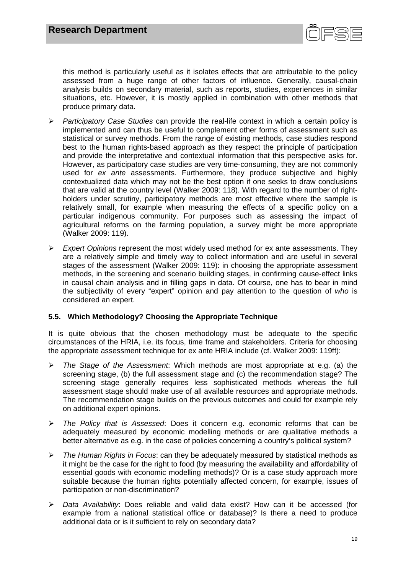

this method is particularly useful as it isolates effects that are attributable to the policy assessed from a huge range of other factors of influence. Generally, causal-chain analysis builds on secondary material, such as reports, studies, experiences in similar situations, etc. However, it is mostly applied in combination with other methods that produce primary data.

- *Participatory Case Studies* can provide the real-life context in which a certain policy is implemented and can thus be useful to complement other forms of assessment such as statistical or survey methods. From the range of existing methods, case studies respond best to the human rights-based approach as they respect the principle of participation and provide the interpretative and contextual information that this perspective asks for. However, as participatory case studies are very time-consuming, they are not commonly used for *ex ante* assessments. Furthermore, they produce subjective and highly contextualized data which may not be the best option if one seeks to draw conclusions that are valid at the country level (Walker 2009: 118). With regard to the number of rightholders under scrutiny, participatory methods are most effective where the sample is relatively small, for example when measuring the effects of a specific policy on a particular indigenous community. For purposes such as assessing the impact of agricultural reforms on the farming population, a survey might be more appropriate (Walker 2009: 119).
- *Expert Opinions* represent the most widely used method for ex ante assessments. They are a relatively simple and timely way to collect information and are useful in several stages of the assessment (Walker 2009: 119): in choosing the appropriate assessment methods, in the screening and scenario building stages, in confirming cause-effect links in causal chain analysis and in filling gaps in data. Of course, one has to bear in mind the subjectivity of every "expert" opinion and pay attention to the question of *who* is considered an expert.

# **5.5. Which Methodology? Choosing the Appropriate Technique**

It is quite obvious that the chosen methodology must be adequate to the specific circumstances of the HRIA, i.e. its focus, time frame and stakeholders. Criteria for choosing the appropriate assessment technique for ex ante HRIA include (cf. Walker 2009: 119ff):

- *The Stage of the Assessment*: Which methods are most appropriate at e.g. (a) the screening stage, (b) the full assessment stage and (c) the recommendation stage? The screening stage generally requires less sophisticated methods whereas the full assessment stage should make use of all available resources and appropriate methods. The recommendation stage builds on the previous outcomes and could for example rely on additional expert opinions.
- *The Policy that is Assessed*: Does it concern e.g. economic reforms that can be adequately measured by economic modelling methods or are qualitative methods a better alternative as e.g. in the case of policies concerning a country's political system?
- *The Human Rights in Focus*: can they be adequately measured by statistical methods as it might be the case for the right to food (by measuring the availability and affordability of essential goods with economic modelling methods)? Or is a case study approach more suitable because the human rights potentially affected concern, for example, issues of participation or non-discrimination?
- *Data Availability*: Does reliable and valid data exist? How can it be accessed (for example from a national statistical office or database)? Is there a need to produce additional data or is it sufficient to rely on secondary data?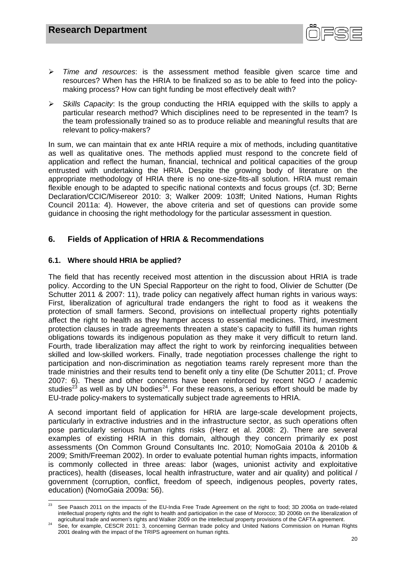

- *Time and resources*: is the assessment method feasible given scarce time and resources? When has the HRIA to be finalized so as to be able to feed into the policymaking process? How can tight funding be most effectively dealt with?
- *Skills Capacity*: Is the group conducting the HRIA equipped with the skills to apply a particular research method? Which disciplines need to be represented in the team? Is the team professionally trained so as to produce reliable and meaningful results that are relevant to policy-makers?

In sum, we can maintain that ex ante HRIA require a mix of methods, including quantitative as well as qualitative ones. The methods applied must respond to the concrete field of application and reflect the human, financial, technical and political capacities of the group entrusted with undertaking the HRIA. Despite the growing body of literature on the appropriate methodology of HRIA there is no one-size-fits-all solution. HRIA must remain flexible enough to be adapted to specific national contexts and focus groups (cf. 3D; Berne Declaration/CCIC/Misereor 2010: 3; Walker 2009: 103ff; United Nations, Human Rights Council 2011a: 4). However, the above criteria and set of questions can provide some guidance in choosing the right methodology for the particular assessment in question.

# **6. Fields of Application of HRIA & Recommendations**

# **6.1. Where should HRIA be applied?**

The field that has recently received most attention in the discussion about HRIA is trade policy. According to the UN Special Rapporteur on the right to food, Olivier de Schutter (De Schutter 2011 & 2007: 11), trade policy can negatively affect human rights in various ways: First, liberalization of agricultural trade endangers the right to food as it weakens the protection of small farmers. Second, provisions on intellectual property rights potentially affect the right to health as they hamper access to essential medicines. Third, investment protection clauses in trade agreements threaten a state's capacity to fulfill its human rights obligations towards its indigenous population as they make it very difficult to return land. Fourth, trade liberalization may affect the right to work by reinforcing inequalities between skilled and low-skilled workers. Finally, trade negotiation processes challenge the right to participation and non-discrimination as negotiation teams rarely represent more than the trade ministries and their results tend to benefit only a tiny elite (De Schutter 2011; cf. Prove 2007: 6). These and other concerns have been reinforced by recent NGO / academic studies<sup>23</sup> as well as by UN bodies<sup>24</sup>. For these reasons, a serious effort should be made by EU-trade policy-makers to systematically subject trade agreements to HRIA.

A second important field of application for HRIA are large-scale development projects, particularly in extractive industries and in the infrastructure sector, as such operations often pose particularly serious human rights risks (Herz et al. 2008: 2). There are several examples of existing HRIA in this domain, although they concern primarily ex post assessments (On Common Ground Consultants Inc. 2010; NomoGaia 2010a & 2010b & 2009; Smith/Freeman 2002). In order to evaluate potential human rights impacts, information is commonly collected in three areas: labor (wages, unionist activity and exploitative practices), health (diseases, local health infrastructure, water and air quality) and political / government (corruption, conflict, freedom of speech, indigenous peoples, poverty rates, education) (NomoGaia 2009a: 56).

 See Paasch 2011 on the impacts of the EU-India Free Trade Agreement on the right to food; 3D 2006a on trade-related intellectual property rights and the right to health and participation in the case of Morocco; 3D 2006b on the liberalization of

agricultural trade and women's rights and Walker 2009 on the intellectual property provisions of the CAFTA agreement.<br><sup>24</sup> See, for example, CESCR 2011: 3, concerning German trade policy and United Nations Commission on Hu 2001 dealing with the impact of the TRIPS agreement on human rights.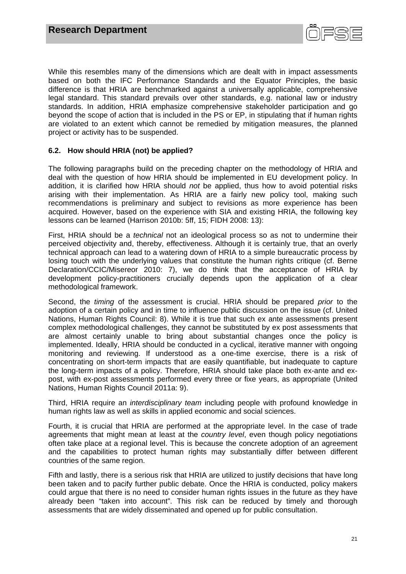

While this resembles many of the dimensions which are dealt with in impact assessments based on both the IFC Performance Standards and the Equator Principles, the basic difference is that HRIA are benchmarked against a universally applicable, comprehensive legal standard. This standard prevails over other standards, e.g. national law or industry standards. In addition, HRIA emphasize comprehensive stakeholder participation and go beyond the scope of action that is included in the PS or EP, in stipulating that if human rights are violated to an extent which cannot be remedied by mitigation measures, the planned project or activity has to be suspended.

# **6.2. How should HRIA (not) be applied?**

The following paragraphs build on the preceding chapter on the methodology of HRIA and deal with the question of how HRIA should be implemented in EU development policy. In addition, it is clarified how HRIA should *not* be applied, thus how to avoid potential risks arising with their implementation. As HRIA are a fairly new policy tool, making such recommendations is preliminary and subject to revisions as more experience has been acquired. However, based on the experience with SIA and existing HRIA, the following key lessons can be learned (Harrison 2010b: 5ff, 15; FIDH 2008: 13):

First, HRIA should be a *technical* not an ideological process so as not to undermine their perceived objectivity and, thereby, effectiveness. Although it is certainly true, that an overly technical approach can lead to a watering down of HRIA to a simple bureaucratic process by losing touch with the underlying values that constitute the human rights critique (cf. Berne Declaration/CCIC/Misereor 2010: 7), we do think that the acceptance of HRIA by development policy-practitioners crucially depends upon the application of a clear methodological framework.

Second, the *timing* of the assessment is crucial. HRIA should be prepared *prior* to the adoption of a certain policy and in time to influence public discussion on the issue (cf. United Nations, Human Rights Council: 8). While it is true that such ex ante assessments present complex methodological challenges, they cannot be substituted by ex post assessments that are almost certainly unable to bring about substantial changes once the policy is implemented. Ideally, HRIA should be conducted in a cyclical, iterative manner with ongoing monitoring and reviewing. If understood as a one-time exercise, there is a risk of concentrating on short-term impacts that are easily quantifiable, but inadequate to capture the long-term impacts of a policy. Therefore, HRIA should take place both ex-ante and expost, with ex-post assessments performed every three or fixe years, as appropriate (United Nations, Human Rights Council 2011a: 9).

Third, HRIA require an *interdisciplinary team* including people with profound knowledge in human rights law as well as skills in applied economic and social sciences.

Fourth, it is crucial that HRIA are performed at the appropriate level. In the case of trade agreements that might mean at least at the *country level*, even though policy negotiations often take place at a regional level. This is because the concrete adoption of an agreement and the capabilities to protect human rights may substantially differ between different countries of the same region.

Fifth and lastly, there is a serious risk that HRIA are utilized to justify decisions that have long been taken and to pacify further public debate. Once the HRIA is conducted, policy makers could argue that there is no need to consider human rights issues in the future as they have already been "taken into account". This risk can be reduced by timely and thorough assessments that are widely disseminated and opened up for public consultation.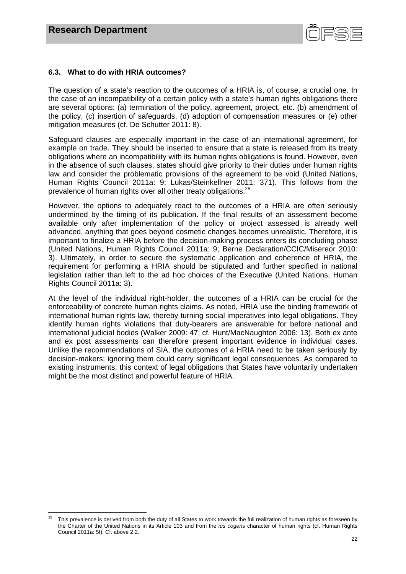

# **6.3. What to do with HRIA outcomes?**

The question of a state's reaction to the outcomes of a HRIA is, of course, a crucial one. In the case of an incompatibility of a certain policy with a state's human rights obligations there are several options: (a) termination of the policy, agreement, project, etc. (b) amendment of the policy, (c) insertion of safeguards, (d) adoption of compensation measures or (e) other mitigation measures (cf. De Schutter 2011: 8).

Safeguard clauses are especially important in the case of an international agreement, for example on trade. They should be inserted to ensure that a state is released from its treaty obligations where an incompatibility with its human rights obligations is found. However, even in the absence of such clauses, states should give priority to their duties under human rights law and consider the problematic provisions of the agreement to be void (United Nations, Human Rights Council 2011a: 9; Lukas/Steinkellner 2011: 371). This follows from the prevalence of human rights over all other treaty obligations.<sup>25</sup>

However, the options to adequately react to the outcomes of a HRIA are often seriously undermined by the timing of its publication. If the final results of an assessment become available only after implementation of the policy or project assessed is already well advanced, anything that goes beyond cosmetic changes becomes unrealistic. Therefore, it is important to finalize a HRIA before the decision-making process enters its concluding phase (United Nations, Human Rights Council 2011a: 9; Berne Declaration/CCIC/Misereor 2010: 3). Ultimately, in order to secure the systematic application and coherence of HRIA, the requirement for performing a HRIA should be stipulated and further specified in national legislation rather than left to the ad hoc choices of the Executive (United Nations, Human Rights Council 2011a: 3).

At the level of the individual right-holder, the outcomes of a HRIA can be crucial for the enforceability of concrete human rights claims. As noted, HRIA use the binding framework of international human rights law, thereby turning social imperatives into legal obligations. They identify human rights violations that duty-bearers are answerable for before national and international judicial bodies (Walker 2009: 47; cf. Hunt/MacNaughton 2006: 13). Both ex ante and ex post assessments can therefore present important evidence in individual cases. Unlike the recommendations of SIA, the outcomes of a HRIA need to be taken seriously by decision-makers; ignoring them could carry significant legal consequences. As compared to existing instruments, this context of legal obligations that States have voluntarily undertaken might be the most distinct and powerful feature of HRIA.

 25 This prevalence is derived from both the duty of all States to work towards the full realization of human rights as foreseen by the Charter of the United Nations in its Article 103 and from the *ius cogens* character of human rights (cf. Human Rights Council 2011a: 5f). Cf. above 2.2.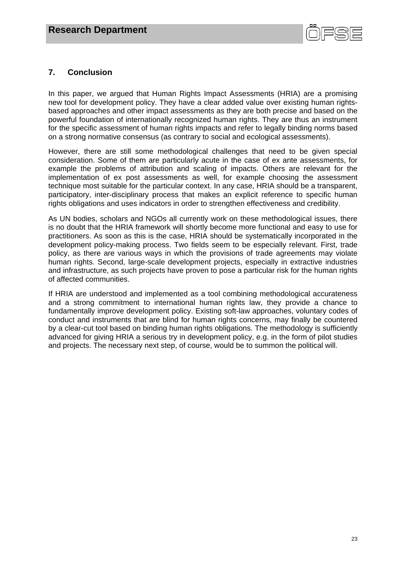

# **7. Conclusion**

In this paper, we argued that Human Rights Impact Assessments (HRIA) are a promising new tool for development policy. They have a clear added value over existing human rightsbased approaches and other impact assessments as they are both precise and based on the powerful foundation of internationally recognized human rights. They are thus an instrument for the specific assessment of human rights impacts and refer to legally binding norms based on a strong normative consensus (as contrary to social and ecological assessments).

However, there are still some methodological challenges that need to be given special consideration. Some of them are particularly acute in the case of ex ante assessments, for example the problems of attribution and scaling of impacts. Others are relevant for the implementation of ex post assessments as well, for example choosing the assessment technique most suitable for the particular context. In any case, HRIA should be a transparent, participatory, inter-disciplinary process that makes an explicit reference to specific human rights obligations and uses indicators in order to strengthen effectiveness and credibility.

As UN bodies, scholars and NGOs all currently work on these methodological issues, there is no doubt that the HRIA framework will shortly become more functional and easy to use for practitioners. As soon as this is the case, HRIA should be systematically incorporated in the development policy-making process. Two fields seem to be especially relevant. First, trade policy, as there are various ways in which the provisions of trade agreements may violate human rights. Second, large-scale development projects, especially in extractive industries and infrastructure, as such projects have proven to pose a particular risk for the human rights of affected communities.

If HRIA are understood and implemented as a tool combining methodological accurateness and a strong commitment to international human rights law, they provide a chance to fundamentally improve development policy. Existing soft-law approaches, voluntary codes of conduct and instruments that are blind for human rights concerns, may finally be countered by a clear-cut tool based on binding human rights obligations. The methodology is sufficiently advanced for giving HRIA a serious try in development policy, e.g. in the form of pilot studies and projects. The necessary next step, of course, would be to summon the political will.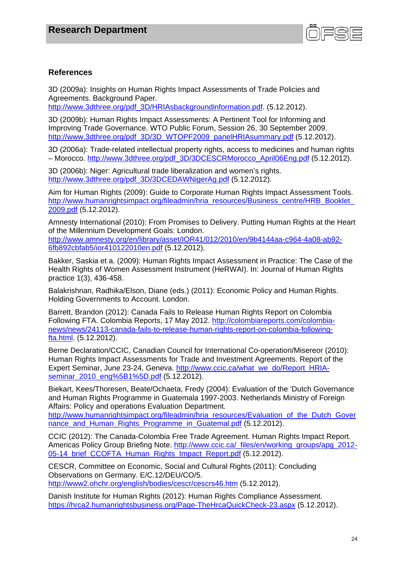

# **References**

3D (2009a): Insights on Human Rights Impact Assessments of Trade Policies and Agreements. Background Paper.

http://www.3dthree.org/pdf\_3D/HRIAsbackgroundinformation.pdf. (5.12.2012).

3D (2009b): Human Rights Impact Assessments: A Pertinent Tool for Informing and Improving Trade Governance. WTO Public Forum, Session 26, 30 September 2009. http://www.3dthree.org/pdf\_3D/3D\_WTOPF2009\_panelHRIAsummary.pdf (5.12.2012).

3D (2006a): Trade-related intellectual property rights, access to medicines and human rights – Morocco. http://www.3dthree.org/pdf\_3D/3DCESCRMorocco\_April06Eng.pdf (5.12.2012).

3D (2006b): Niger: Agricultural trade liberalization and women's rights. http://www.3dthree.org/pdf\_3D/3DCEDAWNigerAg.pdf (5.12.2012).

Aim for Human Rights (2009): Guide to Corporate Human Rights Impact Assessment Tools. http://www.humanrightsimpact.org/fileadmin/hria\_resources/Business\_centre/HRB\_Booklet 2009.pdf (5.12.2012).

Amnesty International (2010): From Promises to Delivery. Putting Human Rights at the Heart of the Millennium Development Goals: London. http://www.amnesty.org/en/library/asset/IOR41/012/2010/en/9b4144aa-c964-4a08-ab92- 6fb892cbfab5/ior410122010en.pdf (5.12.2012).

Bakker, Saskia et a. (2009): Human Rights Impact Assessment in Practice: The Case of the Health Rights of Women Assessment Instrument (HeRWAI). In: Journal of Human Rights practice 1(3), 436-458.

Balakrishnan, Radhika/Elson, Diane (eds.) (2011): Economic Policy and Human Rights. Holding Governments to Account. London.

Barrett, Brandon (2012): Canada Fails to Release Human Rights Report on Colombia Following FTA. Colombia Reports, 17 May 2012. http://colombiareports.com/colombianews/news/24113-canada-fails-to-release-human-rights-report-on-colombia-followingfta.html. (5.12.2012).

Berne Declaration/CCIC, Canadian Council for International Co-operation/Misereor (2010): Human Rights Impact Assessments for Trade and Investment Agreements. Report of the Expert Seminar, June 23-24, Geneva. http://www.ccic.ca/what\_we\_do/Report\_HRIAseminar\_2010\_eng%5B1%5D.pdf (5.12.2012).

Biekart, Kees/Thoresen, Beate/Ochaeta, Fredy (2004): Evaluation of the 'Dutch Governance and Human Rights Programme in Guatemala 1997-2003. Netherlands Ministry of Foreign Affairs: Policy and operations Evaluation Department.

http://www.humanrightsimpact.org/fileadmin/hria\_resources/Evaluation\_of\_the\_Dutch\_Gover nance and Human Rights Programme in Guatemal.pdf (5.12.2012).

CCIC (2012): The Canada-Colombia Free Trade Agreement. Human Rights Impact Report. Americas Policy Group Briefing Note. http://www.ccic.ca/\_files/en/working\_groups/apg\_2012-05-14 brief CCOFTA Human Rights Impact Report.pdf (5.12.2012).

CESCR, Committee on Economic, Social and Cultural Rights (2011): Concluding Observations on Germany. E/C.12/DEU/CO/5. http://www2.ohchr.org/english/bodies/cescr/cescrs46.htm (5.12.2012).

Danish Institute for Human Rights (2012): Human Rights Compliance Assessment. https://hrca2.humanrightsbusiness.org/Page-TheHrcaQuickCheck-23.aspx (5.12.2012).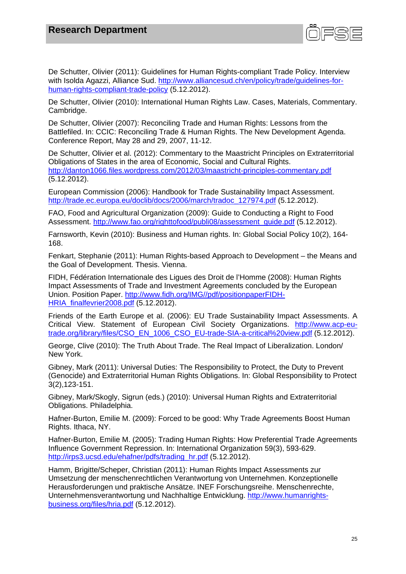

De Schutter, Olivier (2011): Guidelines for Human Rights-compliant Trade Policy. Interview with Isolda Agazzi, Alliance Sud. http://www.alliancesud.ch/en/policy/trade/guidelines-forhuman-rights-compliant-trade-policy (5.12.2012).

De Schutter, Olivier (2010): International Human Rights Law. Cases, Materials, Commentary. Cambridge.

De Schutter, Olivier (2007): Reconciling Trade and Human Rights: Lessons from the Battlefiled. In: CCIC: Reconciling Trade & Human Rights. The New Development Agenda. Conference Report, May 28 and 29, 2007, 11-12.

De Schutter, Olivier et al. (2012): Commentary to the Maastricht Principles on Extraterritorial Obligations of States in the area of Economic, Social and Cultural Rights. http://danton1066.files.wordpress.com/2012/03/maastricht-principles-commentary.pdf (5.12.2012).

European Commission (2006): Handbook for Trade Sustainability Impact Assessment. http://trade.ec.europa.eu/doclib/docs/2006/march/tradoc\_127974.pdf (5.12.2012).

FAO, Food and Agricultural Organization (2009): Guide to Conducting a Right to Food Assessment. http://www.fao.org/righttofood/publi08/assessment\_guide.pdf (5.12.2012).

Farnsworth, Kevin (2010): Business and Human rights. In: Global Social Policy 10(2), 164- 168.

Fenkart, Stephanie (2011): Human Rights-based Approach to Development – the Means and the Goal of Development. Thesis. Vienna.

FIDH, Fédération Internationale des Ligues des Droit de l'Homme (2008): Human Rights Impact Assessments of Trade and Investment Agreements concluded by the European Union. Position Paper. http://www.fidh.org/IMG//pdf/positionpaperFIDH-HRIA\_finalfevrier2008.pdf (5.12.2012).

Friends of the Earth Europe et al. (2006): EU Trade Sustainability Impact Assessments. A Critical View. Statement of European Civil Society Organizations. http://www.acp-eutrade.org/library/files/CSO\_EN\_1006\_CSO\_EU-trade-SIA-a-critical%20view.pdf (5.12.2012).

George, Clive (2010): The Truth About Trade. The Real Impact of Liberalization. London/ New York.

Gibney, Mark (2011): Universal Duties: The Responsibility to Protect, the Duty to Prevent (Genocide) and Extraterritorial Human Rights Obligations. In: Global Responsibility to Protect 3(2),123-151.

Gibney, Mark/Skogly, Sigrun (eds.) (2010): Universal Human Rights and Extraterritorial Obligations. Philadelphia.

Hafner-Burton, Emilie M. (2009): Forced to be good: Why Trade Agreements Boost Human Rights. Ithaca, NY.

Hafner-Burton, Emilie M. (2005): Trading Human Rights: How Preferential Trade Agreements Influence Government Repression. In: International Organization 59(3), 593-629. http://irps3.ucsd.edu/ehafner/pdfs/trading\_hr.pdf (5.12.2012).

Hamm, Brigitte/Scheper, Christian (2011): Human Rights Impact Assessments zur Umsetzung der menschenrechtlichen Verantwortung von Unternehmen. Konzeptionelle Herausforderungen und praktische Ansätze. INEF Forschungsreihe. Menschenrechte, Unternehmensverantwortung und Nachhaltige Entwicklung. http://www.humanrightsbusiness.org/files/hria.pdf (5.12.2012).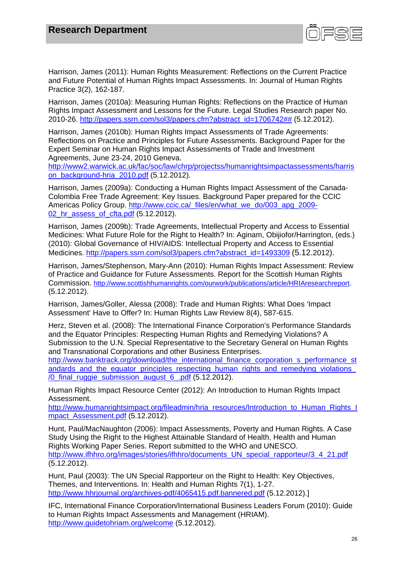

Harrison, James (2011): Human Rights Measurement: Reflections on the Current Practice and Future Potential of Human Rights Impact Assessments. In: Journal of Human Rights Practice 3(2), 162-187.

Harrison, James (2010a): Measuring Human Rights: Reflections on the Practice of Human Rights Impact Assessment and Lessons for the Future. Legal Studies Research paper No. 2010-26. http://papers.ssrn.com/sol3/papers.cfm?abstract\_id=1706742## (5.12.2012).

Harrison, James (2010b): Human Rights Impact Assessments of Trade Agreements: Reflections on Practice and Principles for Future Assessments. Background Paper for the Expert Seminar on Human Rights Impact Assessments of Trade and Investment Agreements, June 23-24, 2010 Geneva.

http://www2.warwick.ac.uk/fac/soc/law/chrp/projectss/humanrightsimpactassessments/harris on\_background-hria\_2010.pdf (5.12.2012).

Harrison, James (2009a): Conducting a Human Rights Impact Assessment of the Canada-Colombia Free Trade Agreement: Key Issues. Background Paper prepared for the CCIC Americas Policy Group. http://www.ccic.ca/\_files/en/what\_we\_do/003\_apg\_2009-02 hr assess of cfta.pdf (5.12.2012).

Harrison, James (2009b): Trade Agreements, Intellectual Property and Access to Essential Medicines: What Future Role for the Right to Health? In: Aginam, Obijiofor/Harrington, (eds.) (2010): Global Governance of HIV/AIDS: Intellectual Property and Access to Essential Medicines. http://papers.ssrn.com/sol3/papers.cfm?abstract\_id=1493309 (5.12.2012).

Harrison, James/Stephenson, Mary-Ann (2010): Human Rights Impact Assessment: Review of Practice and Guidance for Future Assessments. Report for the Scottish Human Rights Commission. http://www.scottishhumanrights.com/ourwork/publications/article/HRIAresearchreport. (5.12.2012).

Harrison, James/Goller, Alessa (2008): Trade and Human Rights: What Does 'Impact Assessment' Have to Offer? In: Human Rights Law Review 8(4), 587-615.

Herz, Steven et al. (2008): The International Finance Corporation's Performance Standards and the Equator Principles: Respecting Human Rights and Remedying Violations? A Submission to the U.N. Special Representative to the Secretary General on Human Rights and Transnational Corporations and other Business Enterprises.

http://www.banktrack.org/download/the\_international\_finance\_corporation\_s\_performance\_st andards and the equator principles respecting human rights and remedying violations /0\_final\_ruggie\_submission\_august\_6\_.pdf (5.12.2012).

Human Rights Impact Resource Center (2012): An Introduction to Human Rights Impact Assessment.

http://www.humanrightsimpact.org/fileadmin/hria\_resources/Introduction\_to\_Human\_Rights\_I mpact Assessment.pdf (5.12.2012).

Hunt, Paul/MacNaughton (2006): Impact Assessments, Poverty and Human Rights. A Case Study Using the Right to the Highest Attainable Standard of Health. Health and Human Rights Working Paper Series. Report submitted to the WHO and UNESCO. http://www.ifhhro.org/images/stories/ifhhro/documents\_UN\_special\_rapporteur/3\_4\_21.pdf (5.12.2012).

Hunt, Paul (2003): The UN Special Rapporteur on the Right to Health: Key Objectives, Themes, and Interventions. In: Health and Human Rights 7(1), 1-27. http://www.hhrjournal.org/archives-pdf/4065415.pdf.bannered.pdf (5.12.2012).]

IFC, International Finance Corporation/International Business Leaders Forum (2010): Guide to Human Rights Impact Assessments and Management (HRIAM). http://www.guidetohriam.org/welcome (5.12.2012).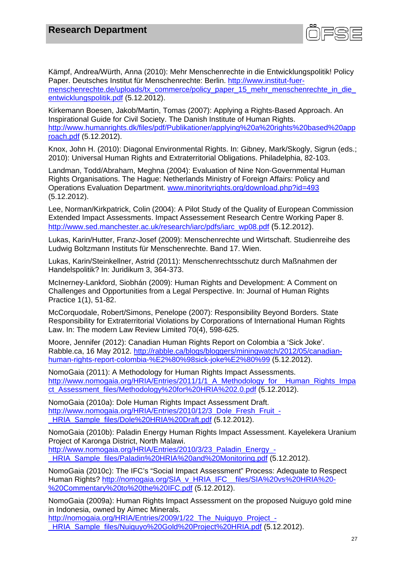

Kämpf, Andrea/Würth, Anna (2010): Mehr Menschenrechte in die Entwicklungspolitik! Policy Paper. Deutsches Institut für Menschenrechte: Berlin. http://www.institut-fuermenschenrechte.de/uploads/tx\_commerce/policy\_paper\_15\_mehr\_menschenrechte\_in\_die entwicklungspolitik.pdf (5.12.2012).

Kirkemann Boesen, Jakob/Martin, Tomas (2007): Applying a Rights-Based Approach. An Inspirational Guide for Civil Society. The Danish Institute of Human Rights. http://www.humanrights.dk/files/pdf/Publikationer/applying%20a%20rights%20based%20app roach.pdf (5.12.2012).

Knox, John H. (2010): Diagonal Environmental Rights. In: Gibney, Mark/Skogly, Sigrun (eds.; 2010): Universal Human Rights and Extraterritorial Obligations. Philadelphia, 82-103.

Landman, Todd/Abraham, Meghna (2004): Evaluation of Nine Non-Governmental Human Rights Organisations. The Hague: Netherlands Ministry of Foreign Affairs: Policy and Operations Evaluation Department. www.minorityrights.org/download.php?id=493 (5.12.2012).

Lee, Norman/Kirkpatrick, Colin (2004): A Pilot Study of the Quality of European Commission Extended Impact Assessments. Impact Assessement Research Centre Working Paper 8. http://www.sed.manchester.ac.uk/research/iarc/pdfs/iarc\_wp08.pdf (5.12.2012).

Lukas, Karin/Hutter, Franz-Josef (2009): Menschenrechte und Wirtschaft. Studienreihe des Ludwig Boltzmann Instituts für Menschenrechte. Band 17. Wien.

Lukas, Karin/Steinkellner, Astrid (2011): Menschenrechtsschutz durch Maßnahmen der Handelspolitik? In: Juridikum 3, 364-373.

McInerney-Lankford, Siobhán (2009): Human Rights and Development: A Comment on Challenges and Opportunities from a Legal Perspective. In: Journal of Human Rights Practice 1(1), 51-82.

McCorquodale, Robert/Simons, Penelope (2007): Responsibility Beyond Borders. State Responsibility for Extraterritorial Violations by Corporations of International Human Rights Law. In: The modern Law Review Limited 70(4), 598-625.

Moore, Jennifer (2012): Canadian Human Rights Report on Colombia a 'Sick Joke'. Rabble.ca, 16 May 2012. http://rabble.ca/blogs/bloggers/miningwatch/2012/05/canadianhuman-rights-report-colombia-%E2%80%98sick-joke%E2%80%99 (5.12.2012).

NomoGaia (2011): A Methodology for Human Rights Impact Assessments. http://www.nomogaia.org/HRIA/Entries/2011/1/1\_A\_Methodology\_for\_\_Human\_Rights\_Impa ct\_Assessment\_files/Methodology%20for%20HRIA%202.0.pdf (5.12.2012).

NomoGaia (2010a): Dole Human Rights Impact Assessment Draft. http://www.nomogaia.org/HRIA/Entries/2010/12/3\_Dole\_Fresh\_Fruit\_-\_HRIA\_Sample\_files/Dole%20HRIA%20Draft.pdf (5.12.2012).

NomoGaia (2010b): Paladin Energy Human Rights Impact Assessment. Kayelekera Uranium Project of Karonga District, North Malawi.

http://www.nomogaia.org/HRIA/Entries/2010/3/23 Paladin Energy -HRIA Sample files/Paladin%20HRIA%20and%20Monitoring.pdf (5.12.2012).

NomoGaia (2010c): The IFC's "Social Impact Assessment" Process: Adequate to Respect Human Rights? http://nomogaia.org/SIA\_v\_HRIA\_IFC\_\_files/SIA%20vs%20HRIA%20- %20Commentary%20to%20the%20IFC.pdf (5.12.2012).

NomoGaia (2009a): Human Rights Impact Assessment on the proposed Nuiguyo gold mine in Indonesia, owned by Aimec Minerals.

http://nomogaia.org/HRIA/Entries/2009/1/22 The Nuiguyo Project -\_HRIA\_Sample\_files/Nuiguyo%20Gold%20Project%20HRIA.pdf (5.12.2012).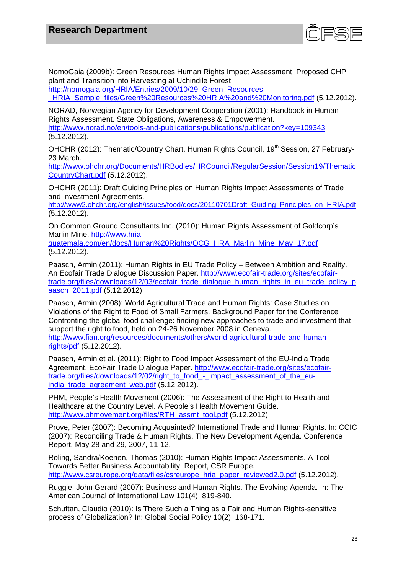

NomoGaia (2009b): Green Resources Human Rights Impact Assessment. Proposed CHP plant and Transition into Harvesting at Uchindile Forest.

http://nomogaia.org/HRIA/Entries/2009/10/29 Green\_Resources\_-

HRIA Sample files/Green%20Resources%20HRIA%20and%20Monitoring.pdf (5.12.2012).

NORAD, Norwegian Agency for Development Cooperation (2001): Handbook in Human Rights Assessment. State Obligations, Awareness & Empowerment. http://www.norad.no/en/tools-and-publications/publications/publication?key=109343 (5.12.2012).

OHCHR (2012): Thematic/Country Chart. Human Rights Council, 19<sup>th</sup> Session, 27 February-23 March.

http://www.ohchr.org/Documents/HRBodies/HRCouncil/RegularSession/Session19/Thematic CountryChart.pdf (5.12.2012).

OHCHR (2011): Draft Guiding Principles on Human Rights Impact Assessments of Trade and Investment Agreements.

http://www2.ohchr.org/english/issues/food/docs/20110701Draft\_Guiding\_Principles\_on\_HRIA.pdf (5.12.2012).

On Common Ground Consultants Inc. (2010): Human Rights Assessment of Goldcorp's Marlin Mine. http://www.hria-

guatemala.com/en/docs/Human%20Rights/OCG\_HRA\_Marlin\_Mine\_May\_17.pdf (5.12.2012).

Paasch, Armin (2011): Human Rights in EU Trade Policy – Between Ambition and Reality. An Ecofair Trade Dialogue Discussion Paper. http://www.ecofair-trade.org/sites/ecofairtrade.org/files/downloads/12/03/ecofair\_trade\_dialogue\_human\_rights\_in\_eu\_trade\_policy\_p aasch\_2011.pdf (5.12.2012).

Paasch, Armin (2008): World Agricultural Trade and Human Rights: Case Studies on Violations of the Right to Food of Small Farmers. Background Paper for the Conference Contronting the global food challenge: finding new approaches to trade and investment that support the right to food, held on 24-26 November 2008 in Geneva. http://www.fian.org/resources/documents/others/world-agricultural-trade-and-humanrights/pdf (5.12.2012).

Paasch, Armin et al. (2011): Right to Food Impact Assessment of the EU-India Trade Agreement. EcoFair Trade Dialogue Paper. http://www.ecofair-trade.org/sites/ecofairtrade.org/files/downloads/12/02/right\_to\_food\_-\_impact\_assessment\_of\_the\_euindia\_trade\_agreement\_web.pdf (5.12.2012).

PHM, People's Health Movement (2006): The Assessment of the Right to Health and Healthcare at the Country Level. A People's Health Movement Guide. http://www.phmovement.org/files/RTH\_assmt\_tool.pdf (5.12.2012).

Prove, Peter (2007): Becoming Acquainted? International Trade and Human Rights. In: CCIC (2007): Reconciling Trade & Human Rights. The New Development Agenda. Conference Report, May 28 and 29, 2007, 11-12.

Roling, Sandra/Koenen, Thomas (2010): Human Rights Impact Assessments. A Tool Towards Better Business Accountability. Report, CSR Europe. http://www.csreurope.org/data/files/csreurope\_hria\_paper\_reviewed2.0.pdf (5.12.2012).

Ruggie, John Gerard (2007): Business and Human Rights. The Evolving Agenda. In: The American Journal of International Law 101(4), 819-840.

Schuftan, Claudio (2010): Is There Such a Thing as a Fair and Human Rights-sensitive process of Globalization? In: Global Social Policy 10(2), 168-171.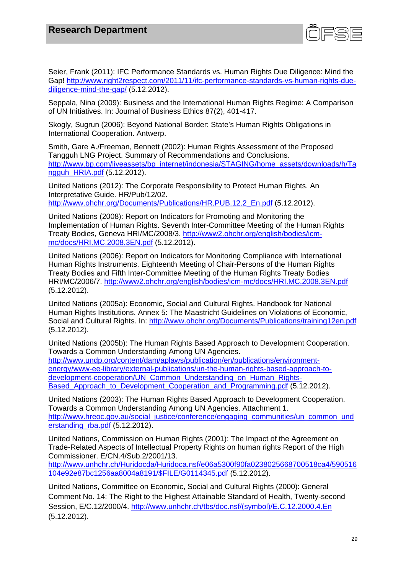

Seier, Frank (2011): IFC Performance Standards vs. Human Rights Due Diligence: Mind the Gap! http://www.right2respect.com/2011/11/ifc-performance-standards-vs-human-rights-duediligence-mind-the-gap/ (5.12.2012).

Seppala, Nina (2009): Business and the International Human Rights Regime: A Comparison of UN Initiatives. In: Journal of Business Ethics 87(2), 401-417.

Skogly, Sugrun (2006): Beyond National Border: State's Human Rights Obligations in International Cooperation. Antwerp.

Smith, Gare A./Freeman, Bennett (2002): Human Rights Assessment of the Proposed Tangguh LNG Project. Summary of Recommendations and Conclusions. http://www.bp.com/liveassets/bp\_internet/indonesia/STAGING/home\_assets/downloads/h/Ta ngguh\_HRIA.pdf (5.12.2012).

United Nations (2012): The Corporate Responsibility to Protect Human Rights. An Interpretative Guide. HR/Pub/12/02. http://www.ohchr.org/Documents/Publications/HR.PUB.12.2\_En.pdf (5.12.2012).

United Nations (2008): Report on Indicators for Promoting and Monitoring the Implementation of Human Rights. Seventh Inter-Committee Meeting of the Human Rights Treaty Bodies, Geneva HRI/MC/2008/3. http://www2.ohchr.org/english/bodies/icmmc/docs/HRI.MC.2008.3EN.pdf (5.12.2012).

United Nations (2006): Report on Indicators for Monitoring Compliance with International Human Rights Instruments. Eighteenth Meeting of Chair-Persons of the Human Rights Treaty Bodies and Fifth Inter-Committee Meeting of the Human Rights Treaty Bodies HRI/MC/2006/7. http://www2.ohchr.org/english/bodies/icm-mc/docs/HRI.MC.2008.3EN.pdf (5.12.2012).

United Nations (2005a): Economic, Social and Cultural Rights. Handbook for National Human Rights Institutions. Annex 5: The Maastricht Guidelines on Violations of Economic, Social and Cultural Rights. In: http://www.ohchr.org/Documents/Publications/training12en.pdf (5.12.2012).

United Nations (2005b): The Human Rights Based Approach to Development Cooperation. Towards a Common Understanding Among UN Agencies. http://www.undp.org/content/dam/aplaws/publication/en/publications/environmentenergy/www-ee-library/external-publications/un-the-human-rights-based-approach-to-

development-cooperation/UN\_Common\_Understanding\_on\_Human\_Rights-Based Approach to Development Cooperation and Programming.pdf (5.12.2012).

United Nations (2003): The Human Rights Based Approach to Development Cooperation. Towards a Common Understanding Among UN Agencies. Attachment 1. http://www.hreoc.gov.au/social\_justice/conference/engaging\_communities/un\_common\_und erstanding rba.pdf (5.12.2012).

United Nations, Commission on Human Rights (2001): The Impact of the Agreement on Trade-Related Aspects of Intellectual Property Rights on human rights Report of the High Commissioner. E/CN.4/Sub.2/2001/13.

http://www.unhchr.ch/Huridocda/Huridoca.nsf/e06a5300f90fa0238025668700518ca4/590516 104e92e87bc1256aa8004a8191/\$FILE/G0114345.pdf (5.12.2012).

United Nations, Committee on Economic, Social and Cultural Rights (2000): General Comment No. 14: The Right to the Highest Attainable Standard of Health, Twenty-second Session, E/C.12/2000/4. http://www.unhchr.ch/tbs/doc.nsf/(symbol)/E.C.12.2000.4.En (5.12.2012).